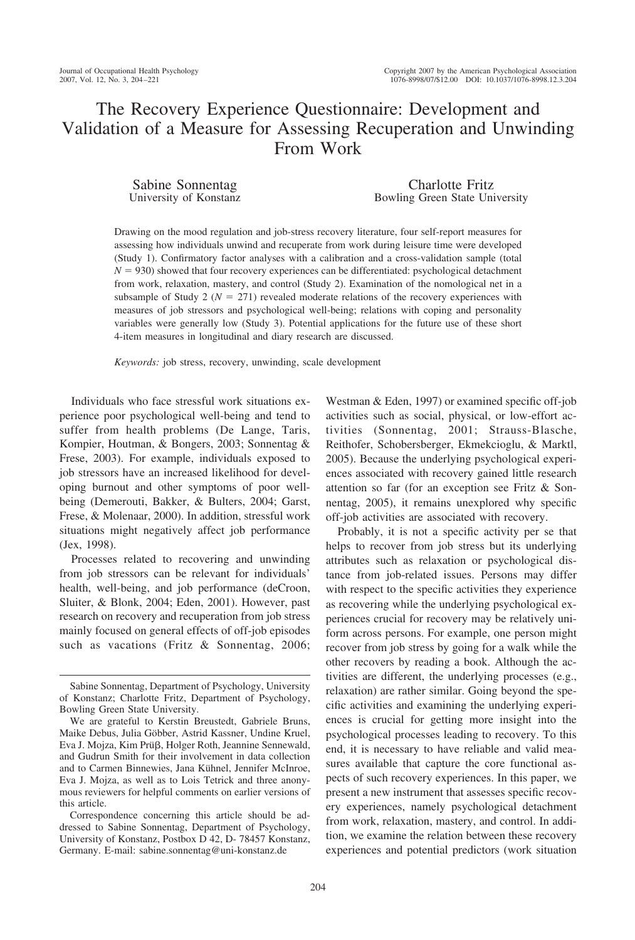# The Recovery Experience Questionnaire: Development and Validation of a Measure for Assessing Recuperation and Unwinding From Work

Sabine Sonnentag University of Konstanz

Charlotte Fritz Bowling Green State University

Drawing on the mood regulation and job-stress recovery literature, four self-report measures for assessing how individuals unwind and recuperate from work during leisure time were developed (Study 1). Confirmatory factor analyses with a calibration and a cross-validation sample (total  $N = 930$ ) showed that four recovery experiences can be differentiated: psychological detachment from work, relaxation, mastery, and control (Study 2). Examination of the nomological net in a subsample of Study 2 ( $N = 271$ ) revealed moderate relations of the recovery experiences with measures of job stressors and psychological well-being; relations with coping and personality variables were generally low (Study 3). Potential applications for the future use of these short 4-item measures in longitudinal and diary research are discussed.

*Keywords:* job stress, recovery, unwinding, scale development

Individuals who face stressful work situations experience poor psychological well-being and tend to suffer from health problems (De Lange, Taris, Kompier, Houtman, & Bongers, 2003; Sonnentag & Frese, 2003). For example, individuals exposed to job stressors have an increased likelihood for developing burnout and other symptoms of poor wellbeing (Demerouti, Bakker, & Bulters, 2004; Garst, Frese, & Molenaar, 2000). In addition, stressful work situations might negatively affect job performance (Jex, 1998).

Processes related to recovering and unwinding from job stressors can be relevant for individuals' health, well-being, and job performance (deCroon, Sluiter, & Blonk, 2004; Eden, 2001). However, past research on recovery and recuperation from job stress mainly focused on general effects of off-job episodes such as vacations (Fritz & Sonnentag, 2006; Westman & Eden, 1997) or examined specific off-job activities such as social, physical, or low-effort activities (Sonnentag, 2001; Strauss-Blasche, Reithofer, Schobersberger, Ekmekcioglu, & Marktl, 2005). Because the underlying psychological experiences associated with recovery gained little research attention so far (for an exception see Fritz & Sonnentag, 2005), it remains unexplored why specific off-job activities are associated with recovery.

Probably, it is not a specific activity per se that helps to recover from job stress but its underlying attributes such as relaxation or psychological distance from job-related issues. Persons may differ with respect to the specific activities they experience as recovering while the underlying psychological experiences crucial for recovery may be relatively uniform across persons. For example, one person might recover from job stress by going for a walk while the other recovers by reading a book. Although the activities are different, the underlying processes (e.g., relaxation) are rather similar. Going beyond the specific activities and examining the underlying experiences is crucial for getting more insight into the psychological processes leading to recovery. To this end, it is necessary to have reliable and valid measures available that capture the core functional aspects of such recovery experiences. In this paper, we present a new instrument that assesses specific recovery experiences, namely psychological detachment from work, relaxation, mastery, and control. In addition, we examine the relation between these recovery experiences and potential predictors (work situation

Sabine Sonnentag, Department of Psychology, University of Konstanz; Charlotte Fritz, Department of Psychology, Bowling Green State University.

We are grateful to Kerstin Breustedt, Gabriele Bruns, Maike Debus, Julia Göbber, Astrid Kassner, Undine Kruel, Eva J. Mojza, Kim Prüβ, Holger Roth, Jeannine Sennewald, and Gudrun Smith for their involvement in data collection and to Carmen Binnewies, Jana Kühnel, Jennifer McInroe, Eva J. Mojza, as well as to Lois Tetrick and three anonymous reviewers for helpful comments on earlier versions of this article.

Correspondence concerning this article should be addressed to Sabine Sonnentag, Department of Psychology, University of Konstanz, Postbox D 42, D- 78457 Konstanz, Germany. E-mail: sabine.sonnentag@uni-konstanz.de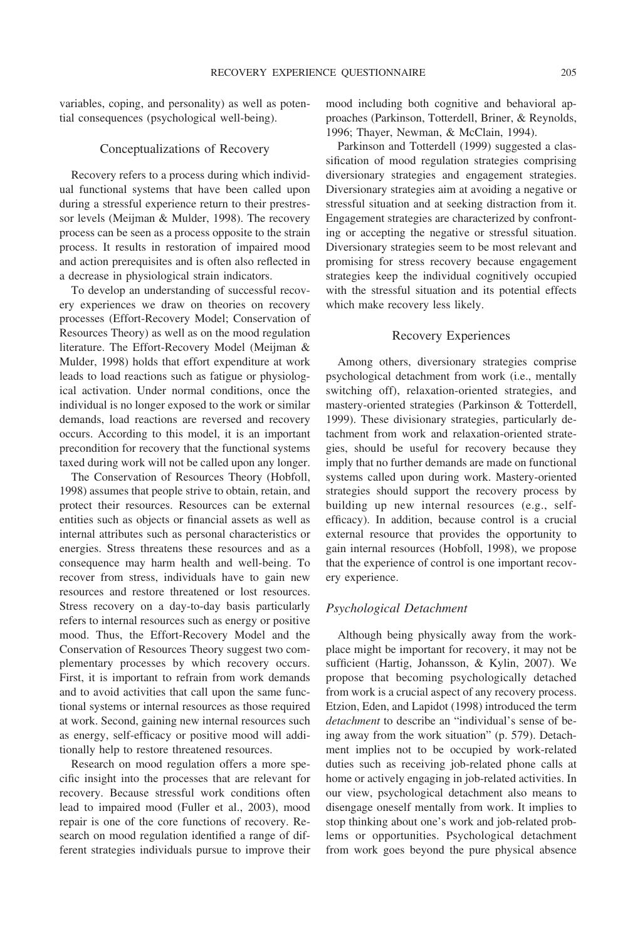variables, coping, and personality) as well as potential consequences (psychological well-being).

#### Conceptualizations of Recovery

Recovery refers to a process during which individual functional systems that have been called upon during a stressful experience return to their prestressor levels (Meijman & Mulder, 1998). The recovery process can be seen as a process opposite to the strain process. It results in restoration of impaired mood and action prerequisites and is often also reflected in a decrease in physiological strain indicators.

To develop an understanding of successful recovery experiences we draw on theories on recovery processes (Effort-Recovery Model; Conservation of Resources Theory) as well as on the mood regulation literature. The Effort-Recovery Model (Meijman & Mulder, 1998) holds that effort expenditure at work leads to load reactions such as fatigue or physiological activation. Under normal conditions, once the individual is no longer exposed to the work or similar demands, load reactions are reversed and recovery occurs. According to this model, it is an important precondition for recovery that the functional systems taxed during work will not be called upon any longer.

The Conservation of Resources Theory (Hobfoll, 1998) assumes that people strive to obtain, retain, and protect their resources. Resources can be external entities such as objects or financial assets as well as internal attributes such as personal characteristics or energies. Stress threatens these resources and as a consequence may harm health and well-being. To recover from stress, individuals have to gain new resources and restore threatened or lost resources. Stress recovery on a day-to-day basis particularly refers to internal resources such as energy or positive mood. Thus, the Effort-Recovery Model and the Conservation of Resources Theory suggest two complementary processes by which recovery occurs. First, it is important to refrain from work demands and to avoid activities that call upon the same functional systems or internal resources as those required at work. Second, gaining new internal resources such as energy, self-efficacy or positive mood will additionally help to restore threatened resources.

Research on mood regulation offers a more specific insight into the processes that are relevant for recovery. Because stressful work conditions often lead to impaired mood (Fuller et al., 2003), mood repair is one of the core functions of recovery. Research on mood regulation identified a range of different strategies individuals pursue to improve their mood including both cognitive and behavioral approaches (Parkinson, Totterdell, Briner, & Reynolds, 1996; Thayer, Newman, & McClain, 1994).

Parkinson and Totterdell (1999) suggested a classification of mood regulation strategies comprising diversionary strategies and engagement strategies. Diversionary strategies aim at avoiding a negative or stressful situation and at seeking distraction from it. Engagement strategies are characterized by confronting or accepting the negative or stressful situation. Diversionary strategies seem to be most relevant and promising for stress recovery because engagement strategies keep the individual cognitively occupied with the stressful situation and its potential effects which make recovery less likely.

### Recovery Experiences

Among others, diversionary strategies comprise psychological detachment from work (i.e., mentally switching off), relaxation-oriented strategies, and mastery-oriented strategies (Parkinson & Totterdell, 1999). These divisionary strategies, particularly detachment from work and relaxation-oriented strategies, should be useful for recovery because they imply that no further demands are made on functional systems called upon during work. Mastery-oriented strategies should support the recovery process by building up new internal resources (e.g., selfefficacy). In addition, because control is a crucial external resource that provides the opportunity to gain internal resources (Hobfoll, 1998), we propose that the experience of control is one important recovery experience.

## *Psychological Detachment*

Although being physically away from the workplace might be important for recovery, it may not be sufficient (Hartig, Johansson, & Kylin, 2007). We propose that becoming psychologically detached from work is a crucial aspect of any recovery process. Etzion, Eden, and Lapidot (1998) introduced the term *detachment* to describe an "individual's sense of being away from the work situation" (p. 579). Detachment implies not to be occupied by work-related duties such as receiving job-related phone calls at home or actively engaging in job-related activities. In our view, psychological detachment also means to disengage oneself mentally from work. It implies to stop thinking about one's work and job-related problems or opportunities. Psychological detachment from work goes beyond the pure physical absence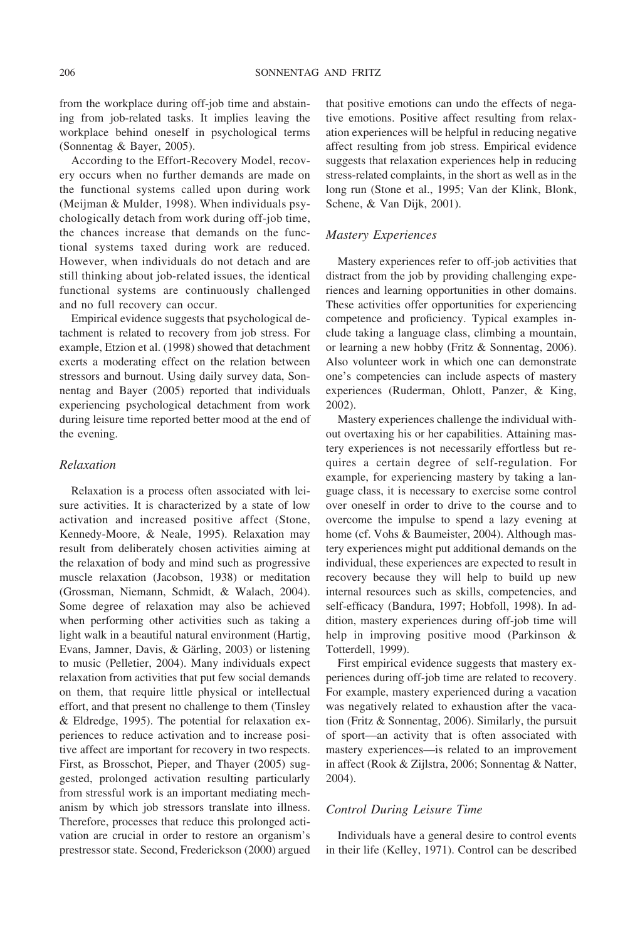from the workplace during off-job time and abstaining from job-related tasks. It implies leaving the workplace behind oneself in psychological terms (Sonnentag & Bayer, 2005).

According to the Effort-Recovery Model, recovery occurs when no further demands are made on the functional systems called upon during work (Meijman & Mulder, 1998). When individuals psychologically detach from work during off-job time, the chances increase that demands on the functional systems taxed during work are reduced. However, when individuals do not detach and are still thinking about job-related issues, the identical functional systems are continuously challenged and no full recovery can occur.

Empirical evidence suggests that psychological detachment is related to recovery from job stress. For example, Etzion et al. (1998) showed that detachment exerts a moderating effect on the relation between stressors and burnout. Using daily survey data, Sonnentag and Bayer (2005) reported that individuals experiencing psychological detachment from work during leisure time reported better mood at the end of the evening.

### *Relaxation*

Relaxation is a process often associated with leisure activities. It is characterized by a state of low activation and increased positive affect (Stone, Kennedy-Moore, & Neale, 1995). Relaxation may result from deliberately chosen activities aiming at the relaxation of body and mind such as progressive muscle relaxation (Jacobson, 1938) or meditation (Grossman, Niemann, Schmidt, & Walach, 2004). Some degree of relaxation may also be achieved when performing other activities such as taking a light walk in a beautiful natural environment (Hartig, Evans, Jamner, Davis, & Gärling, 2003) or listening to music (Pelletier, 2004). Many individuals expect relaxation from activities that put few social demands on them, that require little physical or intellectual effort, and that present no challenge to them (Tinsley & Eldredge, 1995). The potential for relaxation experiences to reduce activation and to increase positive affect are important for recovery in two respects. First, as Brosschot, Pieper, and Thayer (2005) suggested, prolonged activation resulting particularly from stressful work is an important mediating mechanism by which job stressors translate into illness. Therefore, processes that reduce this prolonged activation are crucial in order to restore an organism's prestressor state. Second, Frederickson (2000) argued that positive emotions can undo the effects of negative emotions. Positive affect resulting from relaxation experiences will be helpful in reducing negative affect resulting from job stress. Empirical evidence suggests that relaxation experiences help in reducing stress-related complaints, in the short as well as in the long run (Stone et al., 1995; Van der Klink, Blonk, Schene, & Van Dijk, 2001).

#### *Mastery Experiences*

Mastery experiences refer to off-job activities that distract from the job by providing challenging experiences and learning opportunities in other domains. These activities offer opportunities for experiencing competence and proficiency. Typical examples include taking a language class, climbing a mountain, or learning a new hobby (Fritz & Sonnentag, 2006). Also volunteer work in which one can demonstrate one's competencies can include aspects of mastery experiences (Ruderman, Ohlott, Panzer, & King, 2002).

Mastery experiences challenge the individual without overtaxing his or her capabilities. Attaining mastery experiences is not necessarily effortless but requires a certain degree of self-regulation. For example, for experiencing mastery by taking a language class, it is necessary to exercise some control over oneself in order to drive to the course and to overcome the impulse to spend a lazy evening at home (cf. Vohs & Baumeister, 2004). Although mastery experiences might put additional demands on the individual, these experiences are expected to result in recovery because they will help to build up new internal resources such as skills, competencies, and self-efficacy (Bandura, 1997; Hobfoll, 1998). In addition, mastery experiences during off-job time will help in improving positive mood (Parkinson & Totterdell, 1999).

First empirical evidence suggests that mastery experiences during off-job time are related to recovery. For example, mastery experienced during a vacation was negatively related to exhaustion after the vacation (Fritz & Sonnentag, 2006). Similarly, the pursuit of sport—an activity that is often associated with mastery experiences—is related to an improvement in affect (Rook & Zijlstra, 2006; Sonnentag & Natter, 2004).

### *Control During Leisure Time*

Individuals have a general desire to control events in their life (Kelley, 1971). Control can be described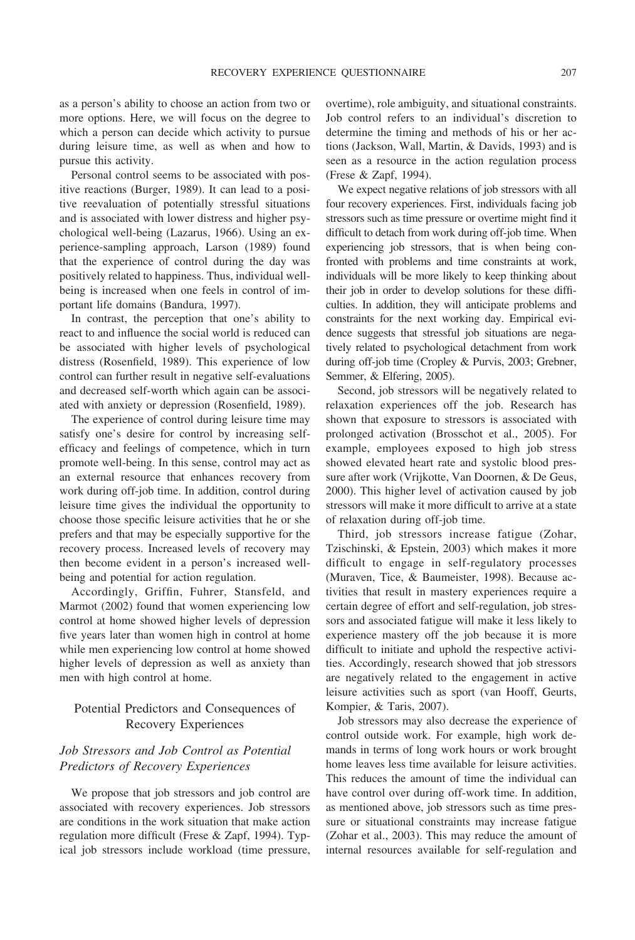as a person's ability to choose an action from two or more options. Here, we will focus on the degree to which a person can decide which activity to pursue during leisure time, as well as when and how to pursue this activity.

Personal control seems to be associated with positive reactions (Burger, 1989). It can lead to a positive reevaluation of potentially stressful situations and is associated with lower distress and higher psychological well-being (Lazarus, 1966). Using an experience-sampling approach, Larson (1989) found that the experience of control during the day was positively related to happiness. Thus, individual wellbeing is increased when one feels in control of important life domains (Bandura, 1997).

In contrast, the perception that one's ability to react to and influence the social world is reduced can be associated with higher levels of psychological distress (Rosenfield, 1989). This experience of low control can further result in negative self-evaluations and decreased self-worth which again can be associated with anxiety or depression (Rosenfield, 1989).

The experience of control during leisure time may satisfy one's desire for control by increasing selfefficacy and feelings of competence, which in turn promote well-being. In this sense, control may act as an external resource that enhances recovery from work during off-job time. In addition, control during leisure time gives the individual the opportunity to choose those specific leisure activities that he or she prefers and that may be especially supportive for the recovery process. Increased levels of recovery may then become evident in a person's increased wellbeing and potential for action regulation.

Accordingly, Griffin, Fuhrer, Stansfeld, and Marmot (2002) found that women experiencing low control at home showed higher levels of depression five years later than women high in control at home while men experiencing low control at home showed higher levels of depression as well as anxiety than men with high control at home.

## Potential Predictors and Consequences of Recovery Experiences

## *Job Stressors and Job Control as Potential Predictors of Recovery Experiences*

We propose that job stressors and job control are associated with recovery experiences. Job stressors are conditions in the work situation that make action regulation more difficult (Frese & Zapf, 1994). Typical job stressors include workload (time pressure,

overtime), role ambiguity, and situational constraints. Job control refers to an individual's discretion to determine the timing and methods of his or her actions (Jackson, Wall, Martin, & Davids, 1993) and is seen as a resource in the action regulation process (Frese & Zapf, 1994).

We expect negative relations of job stressors with all four recovery experiences. First, individuals facing job stressors such as time pressure or overtime might find it difficult to detach from work during off-job time. When experiencing job stressors, that is when being confronted with problems and time constraints at work, individuals will be more likely to keep thinking about their job in order to develop solutions for these difficulties. In addition, they will anticipate problems and constraints for the next working day. Empirical evidence suggests that stressful job situations are negatively related to psychological detachment from work during off-job time (Cropley & Purvis, 2003; Grebner, Semmer, & Elfering, 2005).

Second, job stressors will be negatively related to relaxation experiences off the job. Research has shown that exposure to stressors is associated with prolonged activation (Brosschot et al., 2005). For example, employees exposed to high job stress showed elevated heart rate and systolic blood pressure after work (Vrijkotte, Van Doornen, & De Geus, 2000). This higher level of activation caused by job stressors will make it more difficult to arrive at a state of relaxation during off-job time.

Third, job stressors increase fatigue (Zohar, Tzischinski, & Epstein, 2003) which makes it more difficult to engage in self-regulatory processes (Muraven, Tice, & Baumeister, 1998). Because activities that result in mastery experiences require a certain degree of effort and self-regulation, job stressors and associated fatigue will make it less likely to experience mastery off the job because it is more difficult to initiate and uphold the respective activities. Accordingly, research showed that job stressors are negatively related to the engagement in active leisure activities such as sport (van Hooff, Geurts, Kompier, & Taris, 2007).

Job stressors may also decrease the experience of control outside work. For example, high work demands in terms of long work hours or work brought home leaves less time available for leisure activities. This reduces the amount of time the individual can have control over during off-work time. In addition, as mentioned above, job stressors such as time pressure or situational constraints may increase fatigue (Zohar et al., 2003). This may reduce the amount of internal resources available for self-regulation and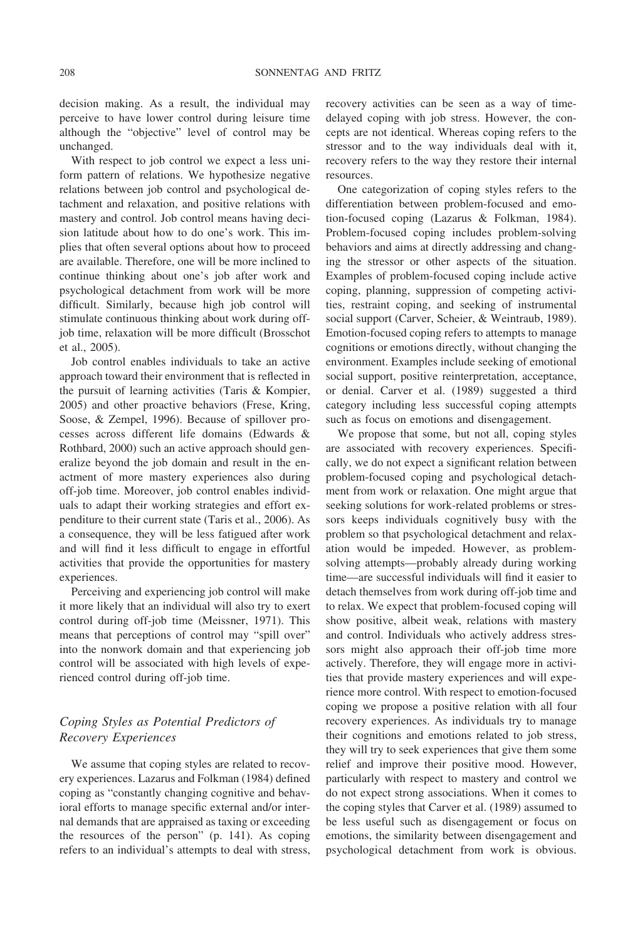decision making. As a result, the individual may perceive to have lower control during leisure time although the "objective" level of control may be unchanged.

With respect to job control we expect a less uniform pattern of relations. We hypothesize negative relations between job control and psychological detachment and relaxation, and positive relations with mastery and control. Job control means having decision latitude about how to do one's work. This implies that often several options about how to proceed are available. Therefore, one will be more inclined to continue thinking about one's job after work and psychological detachment from work will be more difficult. Similarly, because high job control will stimulate continuous thinking about work during offjob time, relaxation will be more difficult (Brosschot et al., 2005).

Job control enables individuals to take an active approach toward their environment that is reflected in the pursuit of learning activities (Taris & Kompier, 2005) and other proactive behaviors (Frese, Kring, Soose, & Zempel, 1996). Because of spillover processes across different life domains (Edwards & Rothbard, 2000) such an active approach should generalize beyond the job domain and result in the enactment of more mastery experiences also during off-job time. Moreover, job control enables individuals to adapt their working strategies and effort expenditure to their current state (Taris et al., 2006). As a consequence, they will be less fatigued after work and will find it less difficult to engage in effortful activities that provide the opportunities for mastery experiences.

Perceiving and experiencing job control will make it more likely that an individual will also try to exert control during off-job time (Meissner, 1971). This means that perceptions of control may "spill over" into the nonwork domain and that experiencing job control will be associated with high levels of experienced control during off-job time.

## *Coping Styles as Potential Predictors of Recovery Experiences*

We assume that coping styles are related to recovery experiences. Lazarus and Folkman (1984) defined coping as "constantly changing cognitive and behavioral efforts to manage specific external and/or internal demands that are appraised as taxing or exceeding the resources of the person" (p. 141). As coping refers to an individual's attempts to deal with stress, recovery activities can be seen as a way of timedelayed coping with job stress. However, the concepts are not identical. Whereas coping refers to the stressor and to the way individuals deal with it, recovery refers to the way they restore their internal resources.

One categorization of coping styles refers to the differentiation between problem-focused and emotion-focused coping (Lazarus & Folkman, 1984). Problem-focused coping includes problem-solving behaviors and aims at directly addressing and changing the stressor or other aspects of the situation. Examples of problem-focused coping include active coping, planning, suppression of competing activities, restraint coping, and seeking of instrumental social support (Carver, Scheier, & Weintraub, 1989). Emotion-focused coping refers to attempts to manage cognitions or emotions directly, without changing the environment. Examples include seeking of emotional social support, positive reinterpretation, acceptance, or denial. Carver et al. (1989) suggested a third category including less successful coping attempts such as focus on emotions and disengagement.

We propose that some, but not all, coping styles are associated with recovery experiences. Specifically, we do not expect a significant relation between problem-focused coping and psychological detachment from work or relaxation. One might argue that seeking solutions for work-related problems or stressors keeps individuals cognitively busy with the problem so that psychological detachment and relaxation would be impeded. However, as problemsolving attempts—probably already during working time—are successful individuals will find it easier to detach themselves from work during off-job time and to relax. We expect that problem-focused coping will show positive, albeit weak, relations with mastery and control. Individuals who actively address stressors might also approach their off-job time more actively. Therefore, they will engage more in activities that provide mastery experiences and will experience more control. With respect to emotion-focused coping we propose a positive relation with all four recovery experiences. As individuals try to manage their cognitions and emotions related to job stress, they will try to seek experiences that give them some relief and improve their positive mood. However, particularly with respect to mastery and control we do not expect strong associations. When it comes to the coping styles that Carver et al. (1989) assumed to be less useful such as disengagement or focus on emotions, the similarity between disengagement and psychological detachment from work is obvious.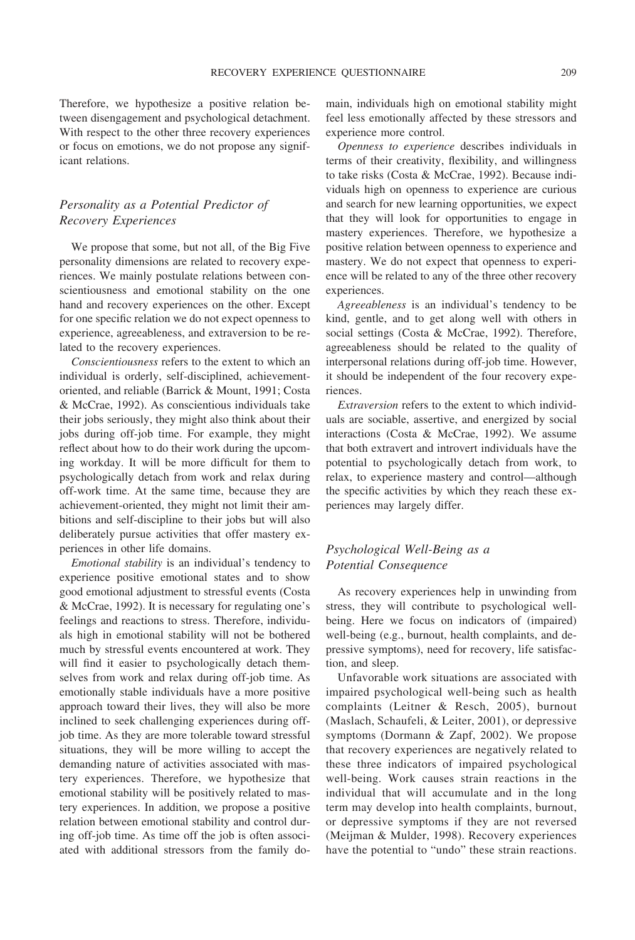Therefore, we hypothesize a positive relation between disengagement and psychological detachment. With respect to the other three recovery experiences or focus on emotions, we do not propose any significant relations.

## *Personality as a Potential Predictor of Recovery Experiences*

We propose that some, but not all, of the Big Five personality dimensions are related to recovery experiences. We mainly postulate relations between conscientiousness and emotional stability on the one hand and recovery experiences on the other. Except for one specific relation we do not expect openness to experience, agreeableness, and extraversion to be related to the recovery experiences.

*Conscientiousness* refers to the extent to which an individual is orderly, self-disciplined, achievementoriented, and reliable (Barrick & Mount, 1991; Costa & McCrae, 1992). As conscientious individuals take their jobs seriously, they might also think about their jobs during off-job time. For example, they might reflect about how to do their work during the upcoming workday. It will be more difficult for them to psychologically detach from work and relax during off-work time. At the same time, because they are achievement-oriented, they might not limit their ambitions and self-discipline to their jobs but will also deliberately pursue activities that offer mastery experiences in other life domains.

*Emotional stability* is an individual's tendency to experience positive emotional states and to show good emotional adjustment to stressful events (Costa & McCrae, 1992). It is necessary for regulating one's feelings and reactions to stress. Therefore, individuals high in emotional stability will not be bothered much by stressful events encountered at work. They will find it easier to psychologically detach themselves from work and relax during off-job time. As emotionally stable individuals have a more positive approach toward their lives, they will also be more inclined to seek challenging experiences during offjob time. As they are more tolerable toward stressful situations, they will be more willing to accept the demanding nature of activities associated with mastery experiences. Therefore, we hypothesize that emotional stability will be positively related to mastery experiences. In addition, we propose a positive relation between emotional stability and control during off-job time. As time off the job is often associated with additional stressors from the family domain, individuals high on emotional stability might feel less emotionally affected by these stressors and experience more control.

*Openness to experience* describes individuals in terms of their creativity, flexibility, and willingness to take risks (Costa & McCrae, 1992). Because individuals high on openness to experience are curious and search for new learning opportunities, we expect that they will look for opportunities to engage in mastery experiences. Therefore, we hypothesize a positive relation between openness to experience and mastery. We do not expect that openness to experience will be related to any of the three other recovery experiences.

*Agreeableness* is an individual's tendency to be kind, gentle, and to get along well with others in social settings (Costa & McCrae, 1992). Therefore, agreeableness should be related to the quality of interpersonal relations during off-job time. However, it should be independent of the four recovery experiences.

*Extraversion* refers to the extent to which individuals are sociable, assertive, and energized by social interactions (Costa & McCrae, 1992). We assume that both extravert and introvert individuals have the potential to psychologically detach from work, to relax, to experience mastery and control—although the specific activities by which they reach these experiences may largely differ.

## *Psychological Well-Being as a Potential Consequence*

As recovery experiences help in unwinding from stress, they will contribute to psychological wellbeing. Here we focus on indicators of (impaired) well-being (e.g., burnout, health complaints, and depressive symptoms), need for recovery, life satisfaction, and sleep.

Unfavorable work situations are associated with impaired psychological well-being such as health complaints (Leitner & Resch, 2005), burnout (Maslach, Schaufeli, & Leiter, 2001), or depressive symptoms (Dormann & Zapf, 2002). We propose that recovery experiences are negatively related to these three indicators of impaired psychological well-being. Work causes strain reactions in the individual that will accumulate and in the long term may develop into health complaints, burnout, or depressive symptoms if they are not reversed (Meijman & Mulder, 1998). Recovery experiences have the potential to "undo" these strain reactions.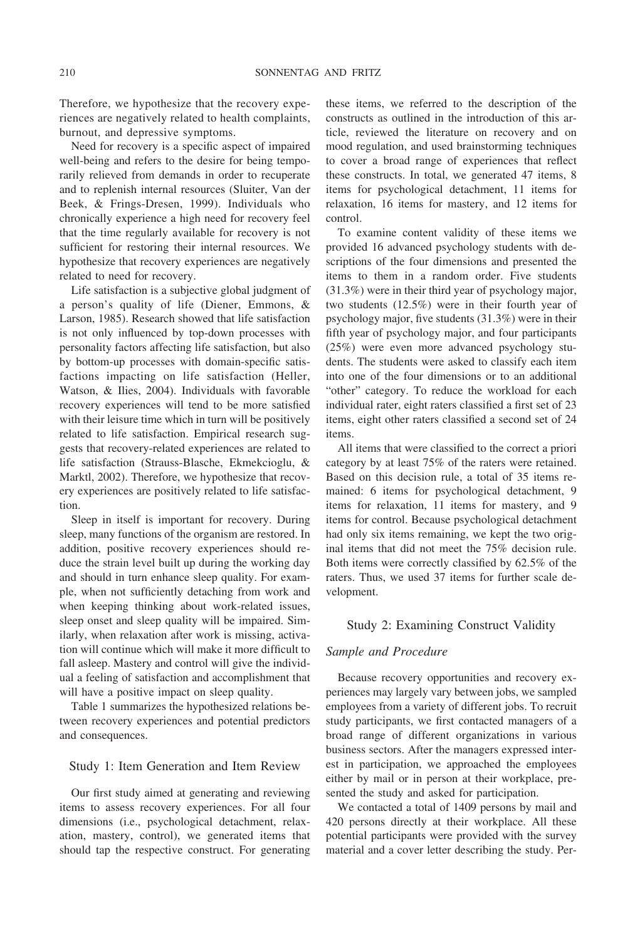Therefore, we hypothesize that the recovery experiences are negatively related to health complaints, burnout, and depressive symptoms.

Need for recovery is a specific aspect of impaired well-being and refers to the desire for being temporarily relieved from demands in order to recuperate and to replenish internal resources (Sluiter, Van der Beek, & Frings-Dresen, 1999). Individuals who chronically experience a high need for recovery feel that the time regularly available for recovery is not sufficient for restoring their internal resources. We hypothesize that recovery experiences are negatively related to need for recovery.

Life satisfaction is a subjective global judgment of a person's quality of life (Diener, Emmons, & Larson, 1985). Research showed that life satisfaction is not only influenced by top-down processes with personality factors affecting life satisfaction, but also by bottom-up processes with domain-specific satisfactions impacting on life satisfaction (Heller, Watson, & Ilies, 2004). Individuals with favorable recovery experiences will tend to be more satisfied with their leisure time which in turn will be positively related to life satisfaction. Empirical research suggests that recovery-related experiences are related to life satisfaction (Strauss-Blasche, Ekmekcioglu, & Marktl, 2002). Therefore, we hypothesize that recovery experiences are positively related to life satisfaction.

Sleep in itself is important for recovery. During sleep, many functions of the organism are restored. In addition, positive recovery experiences should reduce the strain level built up during the working day and should in turn enhance sleep quality. For example, when not sufficiently detaching from work and when keeping thinking about work-related issues, sleep onset and sleep quality will be impaired. Similarly, when relaxation after work is missing, activation will continue which will make it more difficult to fall asleep. Mastery and control will give the individual a feeling of satisfaction and accomplishment that will have a positive impact on sleep quality.

Table 1 summarizes the hypothesized relations between recovery experiences and potential predictors and consequences.

## Study 1: Item Generation and Item Review

Our first study aimed at generating and reviewing items to assess recovery experiences. For all four dimensions (i.e., psychological detachment, relaxation, mastery, control), we generated items that should tap the respective construct. For generating

these items, we referred to the description of the constructs as outlined in the introduction of this article, reviewed the literature on recovery and on mood regulation, and used brainstorming techniques to cover a broad range of experiences that reflect these constructs. In total, we generated 47 items, 8 items for psychological detachment, 11 items for relaxation, 16 items for mastery, and 12 items for control.

To examine content validity of these items we provided 16 advanced psychology students with descriptions of the four dimensions and presented the items to them in a random order. Five students (31.3%) were in their third year of psychology major, two students (12.5%) were in their fourth year of psychology major, five students (31.3%) were in their fifth year of psychology major, and four participants (25%) were even more advanced psychology students. The students were asked to classify each item into one of the four dimensions or to an additional "other" category. To reduce the workload for each individual rater, eight raters classified a first set of 23 items, eight other raters classified a second set of 24 items.

All items that were classified to the correct a priori category by at least 75% of the raters were retained. Based on this decision rule, a total of 35 items remained: 6 items for psychological detachment, 9 items for relaxation, 11 items for mastery, and 9 items for control. Because psychological detachment had only six items remaining, we kept the two original items that did not meet the 75% decision rule. Both items were correctly classified by 62.5% of the raters. Thus, we used 37 items for further scale development.

#### Study 2: Examining Construct Validity

### *Sample and Procedure*

Because recovery opportunities and recovery experiences may largely vary between jobs, we sampled employees from a variety of different jobs. To recruit study participants, we first contacted managers of a broad range of different organizations in various business sectors. After the managers expressed interest in participation, we approached the employees either by mail or in person at their workplace, presented the study and asked for participation.

We contacted a total of 1409 persons by mail and 420 persons directly at their workplace. All these potential participants were provided with the survey material and a cover letter describing the study. Per-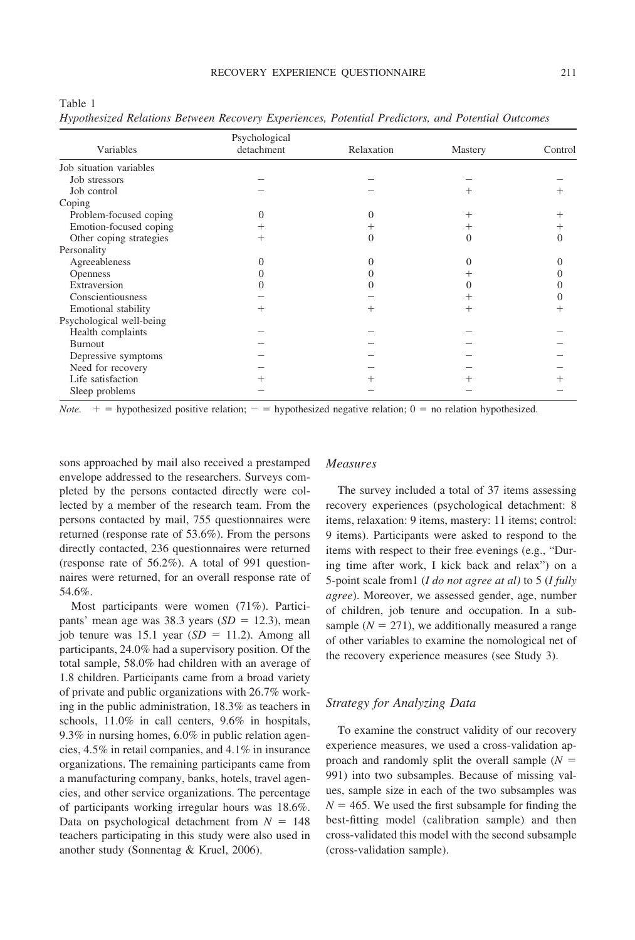#### RECOVERY EXPERIENCE QUESTIONNAIRE 211

Table 1

*Hypothesized Relations Between Recovery Experiences, Potential Predictors, and Potential Outcomes*

|                          | Psychological |            |         |         |
|--------------------------|---------------|------------|---------|---------|
| Variables                | detachment    | Relaxation | Mastery | Control |
| Job situation variables  |               |            |         |         |
| Job stressors            |               |            |         |         |
| Job control              |               |            |         |         |
| Coping                   |               |            |         |         |
| Problem-focused coping   | $\Omega$      |            |         |         |
| Emotion-focused coping   |               |            |         |         |
| Other coping strategies  |               |            |         |         |
| Personality              |               |            |         |         |
| Agreeableness            |               |            |         |         |
| <b>Openness</b>          |               |            |         |         |
| Extraversion             |               |            |         |         |
| Conscientiousness        |               |            |         |         |
| Emotional stability      | +             | ٠          |         |         |
| Psychological well-being |               |            |         |         |
| Health complaints        |               |            |         |         |
| Burnout                  |               |            |         |         |
| Depressive symptoms      |               |            |         |         |
| Need for recovery        |               |            |         |         |
| Life satisfaction        |               |            |         |         |
| Sleep problems           |               |            |         |         |

*Note.*  $+$  = hypothesized positive relation;  $-$  = hypothesized negative relation; 0 = no relation hypothesized.

sons approached by mail also received a prestamped envelope addressed to the researchers. Surveys completed by the persons contacted directly were collected by a member of the research team. From the persons contacted by mail, 755 questionnaires were returned (response rate of 53.6%). From the persons directly contacted, 236 questionnaires were returned (response rate of 56.2%). A total of 991 questionnaires were returned, for an overall response rate of 54.6%.

Most participants were women (71%). Participants' mean age was 38.3 years  $(SD = 12.3)$ , mean job tenure was 15.1 year  $(SD = 11.2)$ . Among all participants, 24.0% had a supervisory position. Of the total sample, 58.0% had children with an average of 1.8 children. Participants came from a broad variety of private and public organizations with 26.7% working in the public administration, 18.3% as teachers in schools, 11.0% in call centers, 9.6% in hospitals, 9.3% in nursing homes, 6.0% in public relation agencies, 4.5% in retail companies, and 4.1% in insurance organizations. The remaining participants came from a manufacturing company, banks, hotels, travel agencies, and other service organizations. The percentage of participants working irregular hours was 18.6%. Data on psychological detachment from  $N = 148$ teachers participating in this study were also used in another study (Sonnentag & Kruel, 2006).

## *Measures*

The survey included a total of 37 items assessing recovery experiences (psychological detachment: 8 items, relaxation: 9 items, mastery: 11 items; control: 9 items). Participants were asked to respond to the items with respect to their free evenings (e.g., "During time after work, I kick back and relax") on a 5-point scale from1 (*I do not agree at al)* to 5 (*I fully agree*). Moreover, we assessed gender, age, number of children, job tenure and occupation. In a subsample  $(N = 271)$ , we additionally measured a range of other variables to examine the nomological net of the recovery experience measures (see Study 3).

### *Strategy for Analyzing Data*

To examine the construct validity of our recovery experience measures, we used a cross-validation approach and randomly split the overall sample (*N* 991) into two subsamples. Because of missing values, sample size in each of the two subsamples was  $N = 465$ . We used the first subsample for finding the best-fitting model (calibration sample) and then cross-validated this model with the second subsample (cross-validation sample).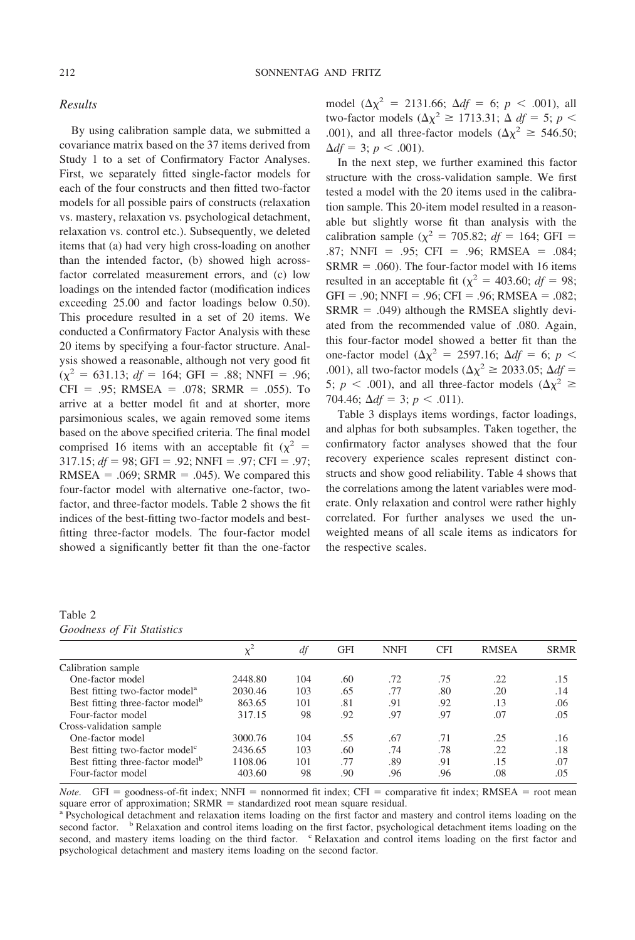## *Results*

By using calibration sample data, we submitted a covariance matrix based on the 37 items derived from Study 1 to a set of Confirmatory Factor Analyses. First, we separately fitted single-factor models for each of the four constructs and then fitted two-factor models for all possible pairs of constructs (relaxation vs. mastery, relaxation vs. psychological detachment, relaxation vs. control etc.). Subsequently, we deleted items that (a) had very high cross-loading on another than the intended factor, (b) showed high acrossfactor correlated measurement errors, and (c) low loadings on the intended factor (modification indices exceeding 25.00 and factor loadings below 0.50). This procedure resulted in a set of 20 items. We conducted a Confirmatory Factor Analysis with these 20 items by specifying a four-factor structure. Analysis showed a reasonable, although not very good fit  $(\chi^2 = 631.13; df = 164; GFI = .88; NNFI = .96;$  $CFI = .95$ ; RMSEA = .078; SRMR = .055). To arrive at a better model fit and at shorter, more parsimonious scales, we again removed some items based on the above specified criteria. The final model comprised 16 items with an acceptable fit  $(\chi^2 =$  $317.15; df = 98; GFI = .92; NNFI = .97; CFI = .97;$ RMSEA = .069; SRMR = .045). We compared this four-factor model with alternative one-factor, twofactor, and three-factor models. Table 2 shows the fit indices of the best-fitting two-factor models and bestfitting three-factor models. The four-factor model showed a significantly better fit than the one-factor

model ( $\Delta \chi^2$  = 2131.66;  $\Delta df = 6$ ; *p* < .001), all two-factor models ( $\Delta \chi^2$   $\geq$  1713.31;  $\Delta df = 5$ ; *p* < .001), and all three-factor models ( $\Delta \chi^2 \geq 546.50$ ;  $\Delta df = 3$ ; *p* < .001).

In the next step, we further examined this factor structure with the cross-validation sample. We first tested a model with the 20 items used in the calibration sample. This 20-item model resulted in a reasonable but slightly worse fit than analysis with the calibration sample ( $\chi^2$  = 705.82; *df* = 164; GFI = .87; NNFI = .95; CFI = .96; RMSEA = .084;  $SRMR = .060$ ). The four-factor model with 16 items resulted in an acceptable fit ( $\chi^2$  = 403.60; *df* = 98;  $GFI = .90; NNFI = .96; CFI = .96; RMSEA = .082;$  $SRMR = .049$ ) although the RMSEA slightly deviated from the recommended value of .080. Again, this four-factor model showed a better fit than the one-factor model ( $\Delta \chi^2$  = 2597.16;  $\Delta df = 6$ ; *p* < .001), all two-factor models ( $\Delta \chi^2 \ge 2033.05$ ;  $\Delta df =$ 5;  $p < .001$ ), and all three-factor models ( $\Delta \chi^2 \ge$ 704.46;  $\Delta df = 3$ ;  $p < .011$ ).

Table 3 displays items wordings, factor loadings, and alphas for both subsamples. Taken together, the confirmatory factor analyses showed that the four recovery experience scales represent distinct constructs and show good reliability. Table 4 shows that the correlations among the latent variables were moderate. Only relaxation and control were rather highly correlated. For further analyses we used the unweighted means of all scale items as indicators for the respective scales.

| Table 2                    |  |  |
|----------------------------|--|--|
| Goodness of Fit Statistics |  |  |

|                                              |         | df  | <b>GFI</b> | <b>NNFI</b> | CFI | <b>RMSEA</b> | <b>SRMR</b> |
|----------------------------------------------|---------|-----|------------|-------------|-----|--------------|-------------|
| Calibration sample                           |         |     |            |             |     |              |             |
| One-factor model                             | 2448.80 | 104 | .60        | .72         | .75 | .22          | .15         |
| Best fitting two-factor model <sup>a</sup>   | 2030.46 | 103 | .65        | .77         | .80 | .20          | .14         |
| Best fitting three-factor model <sup>b</sup> | 863.65  | 101 | .81        | .91         | .92 | .13          | .06         |
| Four-factor model                            | 317.15  | 98  | .92        | .97         | .97 | .07          | .05         |
| Cross-validation sample                      |         |     |            |             |     |              |             |
| One-factor model                             | 3000.76 | 104 | .55        | .67         | .71 | .25          | .16         |
| Best fitting two-factor model <sup>c</sup>   | 2436.65 | 103 | .60        | .74         | .78 | .22          | .18         |
| Best fitting three-factor model <sup>b</sup> | 1108.06 | 101 | .77        | .89         | .91 | .15          | .07         |
| Four-factor model                            | 403.60  | 98  | .90        | .96         | .96 | .08          | .05         |
|                                              |         |     |            |             |     |              |             |

*Note.* GFI = goodness-of-fit index; NNFI = nonnormed fit index; CFI = comparative fit index; RMSEA = root mean square error of approximation; SRMR = standardized root mean square residual.<br><sup>a</sup> Psychological detachment and relaxation items loading on the first factor and mastery and control items loading on the

second factor. <sup>b</sup> Relaxation and control items loading on the first factor, psychological detachment items loading on the second, and mastery items loading on the third factor. <sup>c</sup> Relaxation and control items loading on the first factor and psychological detachment and mastery items loading on the second factor.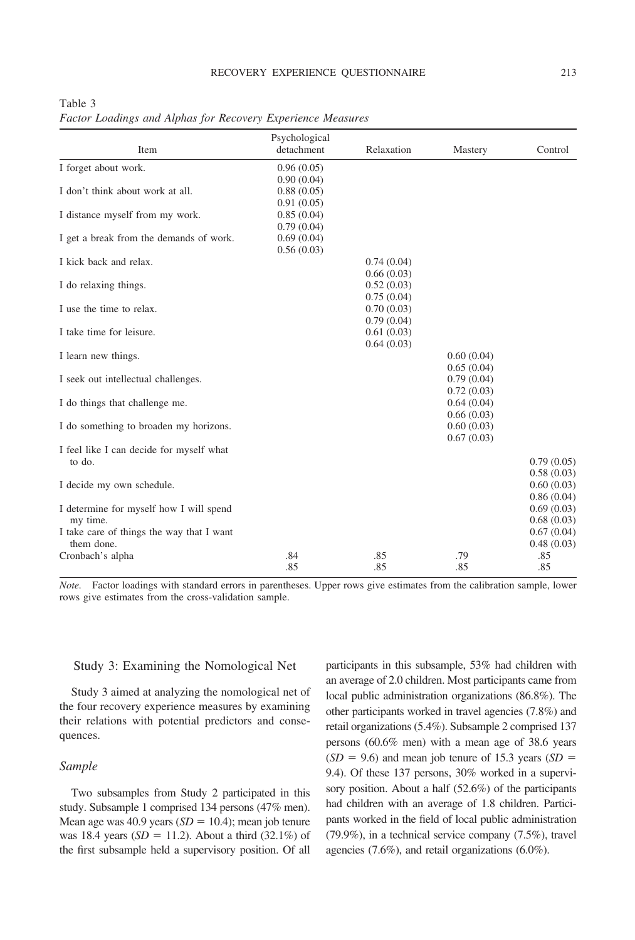|                                          | Psychological |            |            |            |
|------------------------------------------|---------------|------------|------------|------------|
| Item                                     | detachment    | Relaxation | Mastery    | Control    |
| I forget about work.                     | 0.96(0.05)    |            |            |            |
|                                          | 0.90(0.04)    |            |            |            |
| I don't think about work at all.         | 0.88(0.05)    |            |            |            |
|                                          | 0.91(0.05)    |            |            |            |
| I distance myself from my work.          | 0.85(0.04)    |            |            |            |
|                                          | 0.79(0.04)    |            |            |            |
| I get a break from the demands of work.  | 0.69(0.04)    |            |            |            |
|                                          | 0.56(0.03)    |            |            |            |
| I kick back and relax.                   |               | 0.74(0.04) |            |            |
|                                          |               | 0.66(0.03) |            |            |
| I do relaxing things.                    |               | 0.52(0.03) |            |            |
|                                          |               | 0.75(0.04) |            |            |
| I use the time to relax.                 |               | 0.70(0.03) |            |            |
|                                          |               | 0.79(0.04) |            |            |
| I take time for leisure.                 |               | 0.61(0.03) |            |            |
|                                          |               | 0.64(0.03) |            |            |
| I learn new things.                      |               |            | 0.60(0.04) |            |
|                                          |               |            | 0.65(0.04) |            |
| I seek out intellectual challenges.      |               |            | 0.79(0.04) |            |
|                                          |               |            | 0.72(0.03) |            |
| I do things that challenge me.           |               |            | 0.64(0.04) |            |
|                                          |               |            | 0.66(0.03) |            |
| I do something to broaden my horizons.   |               |            | 0.60(0.03) |            |
|                                          |               |            | 0.67(0.03) |            |
| I feel like I can decide for myself what |               |            |            |            |
| to do.                                   |               |            |            | 0.79(0.05) |
|                                          |               |            |            | 0.58(0.03) |
| I decide my own schedule.                |               |            |            | 0.60(0.03) |
|                                          |               |            |            | 0.86(0.04) |
| I determine for myself how I will spend  |               |            |            | 0.69(0.03) |

Table 3 *Factor Loadings and Alphas for Recovery Experience Measures*

*Note.* Factor loadings with standard errors in parentheses. Upper rows give estimates from the calibration sample, lower rows give estimates from the cross-validation sample.

Cronbach's alpha .84 .85 .79 .85

## Study 3: Examining the Nomological Net

Study 3 aimed at analyzing the nomological net of the four recovery experience measures by examining their relations with potential predictors and consequences.

### *Sample*

my time.

them done.

I take care of things the way that I want

Two subsamples from Study 2 participated in this study. Subsample 1 comprised 134 persons (47% men). Mean age was  $40.9$  years ( $SD = 10.4$ ); mean job tenure was 18.4 years ( $SD = 11.2$ ). About a third (32.1%) of the first subsample held a supervisory position. Of all participants in this subsample, 53% had children with an average of 2.0 children. Most participants came from local public administration organizations (86.8%). The other participants worked in travel agencies (7.8%) and retail organizations (5.4%). Subsample 2 comprised 137 persons (60.6% men) with a mean age of 38.6 years  $(SD = 9.6)$  and mean job tenure of 15.3 years  $(SD = 9.6)$ 9.4). Of these 137 persons, 30% worked in a supervisory position. About a half (52.6%) of the participants had children with an average of 1.8 children. Participants worked in the field of local public administration (79.9%), in a technical service company (7.5%), travel agencies (7.6%), and retail organizations (6.0%).

.85 .85 .85 .85

0.68 (0.03)

0.67 (0.04) 0.48 (0.03)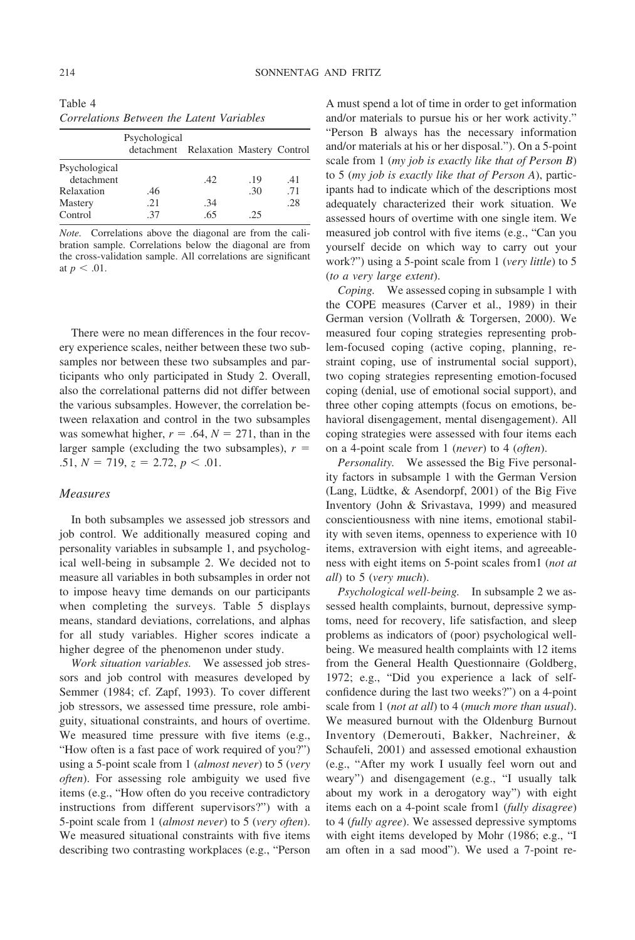| Table 4                                   |  |  |
|-------------------------------------------|--|--|
| Correlations Between the Latent Variables |  |  |

|               | Psychological<br>detachment Relaxation Mastery Control |     |     |     |
|---------------|--------------------------------------------------------|-----|-----|-----|
| Psychological |                                                        |     |     |     |
| detachment    |                                                        | 42  | .19 | .41 |
| Relaxation    | .46                                                    |     | .30 | .71 |
| Mastery       | .21                                                    | .34 |     | .28 |
| Control       | -37                                                    | 65  | 25  |     |

*Note.* Correlations above the diagonal are from the calibration sample. Correlations below the diagonal are from the cross-validation sample. All correlations are significant at  $p < .01$ .

There were no mean differences in the four recovery experience scales, neither between these two subsamples nor between these two subsamples and participants who only participated in Study 2. Overall, also the correlational patterns did not differ between the various subsamples. However, the correlation between relaxation and control in the two subsamples was somewhat higher,  $r = .64$ ,  $N = 271$ , than in the larger sample (excluding the two subsamples),  $r =$ .51,  $N = 719$ ,  $z = 2.72$ ,  $p < .01$ .

#### *Measures*

In both subsamples we assessed job stressors and job control. We additionally measured coping and personality variables in subsample 1, and psychological well-being in subsample 2. We decided not to measure all variables in both subsamples in order not to impose heavy time demands on our participants when completing the surveys. Table 5 displays means, standard deviations, correlations, and alphas for all study variables. Higher scores indicate a higher degree of the phenomenon under study.

*Work situation variables.* We assessed job stressors and job control with measures developed by Semmer (1984; cf. Zapf, 1993). To cover different job stressors, we assessed time pressure, role ambiguity, situational constraints, and hours of overtime. We measured time pressure with five items (e.g., "How often is a fast pace of work required of you?") using a 5-point scale from 1 (*almost never*) to 5 (*very often*). For assessing role ambiguity we used five items (e.g., "How often do you receive contradictory instructions from different supervisors?") with a 5-point scale from 1 (*almost never*) to 5 (*very often*). We measured situational constraints with five items describing two contrasting workplaces (e.g., "Person A must spend a lot of time in order to get information and/or materials to pursue his or her work activity." "Person B always has the necessary information and/or materials at his or her disposal."). On a 5-point scale from 1 (*my job is exactly like that of Person B*) to 5 (*my job is exactly like that of Person A*), participants had to indicate which of the descriptions most adequately characterized their work situation. We assessed hours of overtime with one single item. We measured job control with five items (e.g., "Can you yourself decide on which way to carry out your work?") using a 5-point scale from 1 (*very little*) to 5 (*to a very large extent*).

*Coping.* We assessed coping in subsample 1 with the COPE measures (Carver et al., 1989) in their German version (Vollrath & Torgersen, 2000). We measured four coping strategies representing problem-focused coping (active coping, planning, restraint coping, use of instrumental social support), two coping strategies representing emotion-focused coping (denial, use of emotional social support), and three other coping attempts (focus on emotions, behavioral disengagement, mental disengagement). All coping strategies were assessed with four items each on a 4-point scale from 1 (*never*) to 4 (*often*).

*Personality.* We assessed the Big Five personality factors in subsample 1 with the German Version (Lang, Lüdtke,  $&$  Asendorpf, 2001) of the Big Five Inventory (John & Srivastava, 1999) and measured conscientiousness with nine items, emotional stability with seven items, openness to experience with 10 items, extraversion with eight items, and agreeableness with eight items on 5-point scales from1 (*not at all*) to 5 (*very much*).

*Psychological well-being.* In subsample 2 we assessed health complaints, burnout, depressive symptoms, need for recovery, life satisfaction, and sleep problems as indicators of (poor) psychological wellbeing. We measured health complaints with 12 items from the General Health Questionnaire (Goldberg, 1972; e.g., "Did you experience a lack of selfconfidence during the last two weeks?") on a 4-point scale from 1 (*not at all*) to 4 (*much more than usual*). We measured burnout with the Oldenburg Burnout Inventory (Demerouti, Bakker, Nachreiner, & Schaufeli, 2001) and assessed emotional exhaustion (e.g., "After my work I usually feel worn out and weary") and disengagement (e.g., "I usually talk about my work in a derogatory way") with eight items each on a 4-point scale from1 (*fully disagree*) to 4 (*fully agree*). We assessed depressive symptoms with eight items developed by Mohr (1986; e.g., "I am often in a sad mood"). We used a 7-point re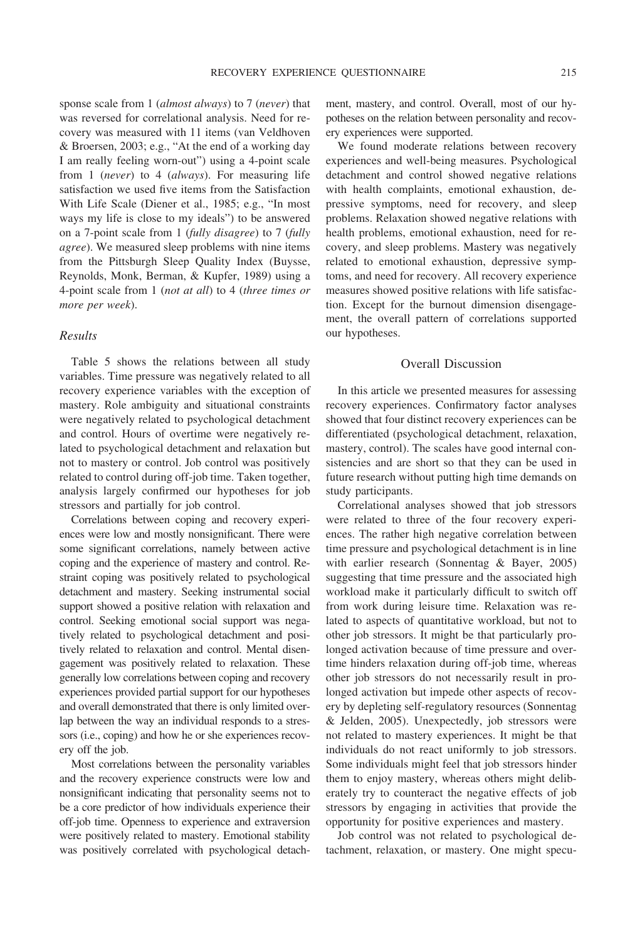sponse scale from 1 (*almost always*) to 7 (*never*) that was reversed for correlational analysis. Need for recovery was measured with 11 items (van Veldhoven & Broersen, 2003; e.g., "At the end of a working day I am really feeling worn-out") using a 4-point scale from 1 (*never*) to 4 (*always*). For measuring life satisfaction we used five items from the Satisfaction With Life Scale (Diener et al., 1985; e.g., "In most ways my life is close to my ideals") to be answered on a 7-point scale from 1 (*fully disagree*) to 7 (*fully agree*). We measured sleep problems with nine items from the Pittsburgh Sleep Quality Index (Buysse, Reynolds, Monk, Berman, & Kupfer, 1989) using a 4-point scale from 1 (*not at all*) to 4 (*three times or more per week*).

### *Results*

Table 5 shows the relations between all study variables. Time pressure was negatively related to all recovery experience variables with the exception of mastery. Role ambiguity and situational constraints were negatively related to psychological detachment and control. Hours of overtime were negatively related to psychological detachment and relaxation but not to mastery or control. Job control was positively related to control during off-job time. Taken together, analysis largely confirmed our hypotheses for job stressors and partially for job control.

Correlations between coping and recovery experiences were low and mostly nonsignificant. There were some significant correlations, namely between active coping and the experience of mastery and control. Restraint coping was positively related to psychological detachment and mastery. Seeking instrumental social support showed a positive relation with relaxation and control. Seeking emotional social support was negatively related to psychological detachment and positively related to relaxation and control. Mental disengagement was positively related to relaxation. These generally low correlations between coping and recovery experiences provided partial support for our hypotheses and overall demonstrated that there is only limited overlap between the way an individual responds to a stressors (i.e., coping) and how he or she experiences recovery off the job.

Most correlations between the personality variables and the recovery experience constructs were low and nonsignificant indicating that personality seems not to be a core predictor of how individuals experience their off-job time. Openness to experience and extraversion were positively related to mastery. Emotional stability was positively correlated with psychological detachment, mastery, and control. Overall, most of our hypotheses on the relation between personality and recovery experiences were supported.

We found moderate relations between recovery experiences and well-being measures. Psychological detachment and control showed negative relations with health complaints, emotional exhaustion, depressive symptoms, need for recovery, and sleep problems. Relaxation showed negative relations with health problems, emotional exhaustion, need for recovery, and sleep problems. Mastery was negatively related to emotional exhaustion, depressive symptoms, and need for recovery. All recovery experience measures showed positive relations with life satisfaction. Except for the burnout dimension disengagement, the overall pattern of correlations supported our hypotheses.

### Overall Discussion

In this article we presented measures for assessing recovery experiences. Confirmatory factor analyses showed that four distinct recovery experiences can be differentiated (psychological detachment, relaxation, mastery, control). The scales have good internal consistencies and are short so that they can be used in future research without putting high time demands on study participants.

Correlational analyses showed that job stressors were related to three of the four recovery experiences. The rather high negative correlation between time pressure and psychological detachment is in line with earlier research (Sonnentag & Bayer, 2005) suggesting that time pressure and the associated high workload make it particularly difficult to switch off from work during leisure time. Relaxation was related to aspects of quantitative workload, but not to other job stressors. It might be that particularly prolonged activation because of time pressure and overtime hinders relaxation during off-job time, whereas other job stressors do not necessarily result in prolonged activation but impede other aspects of recovery by depleting self-regulatory resources (Sonnentag & Jelden, 2005). Unexpectedly, job stressors were not related to mastery experiences. It might be that individuals do not react uniformly to job stressors. Some individuals might feel that job stressors hinder them to enjoy mastery, whereas others might deliberately try to counteract the negative effects of job stressors by engaging in activities that provide the opportunity for positive experiences and mastery.

Job control was not related to psychological detachment, relaxation, or mastery. One might specu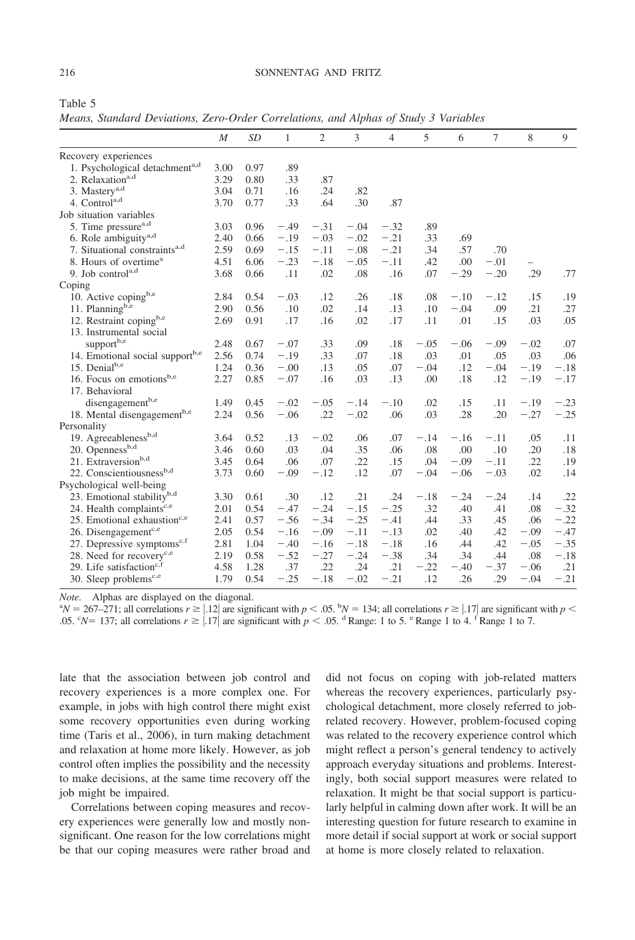Table 5

*Means, Standard Deviations, Zero-Order Correlations, and Alphas of Study 3 Variables*

| Recovery experiences<br>1. Psychological detachmenta,d<br>.89<br>3.00<br>0.97<br>2. Relaxation <sup>a,d</sup><br>.87<br>3.29<br>0.80<br>.33<br>3. Mastery <sup>a,d</sup><br>.82<br>3.04<br>0.71<br>.16<br>.24<br>4. Control <sup>a,d</sup><br>.33<br>.30<br>3.70<br>0.77<br>.64<br>.87<br>Job situation variables<br>5. Time pressure <sup>a,d</sup><br>3.03<br>0.96<br>$-.49$<br>$-.31$<br>$-.04$<br>$-.32$<br>.89<br>.33<br>6. Role ambiguity <sup>a,d</sup><br>2.40<br>0.66<br>$-.19$<br>$-.03$<br>$-.02$<br>$-.21$<br>.69<br>7. Situational constraints <sup>a,d</sup><br>2.59<br>$-.21$<br>.34<br>.57<br>0.69<br>$-.15$<br>$-.11$<br>$-.08$<br>.70<br>6.06<br>$-.23$<br>$-.11$<br>.42<br>$-.01$<br>8. Hours of overtime <sup>a</sup><br>4.51<br>$-.18$<br>$-.05$<br>.00<br>9. Job control <sup>a,d</sup><br>.11<br>.02<br>.08<br>.07<br>$-.29$<br>$-.20$<br>.29<br>3.68<br>0.66<br>.16<br>10. Active coping <sup>b,e</sup><br>2.84<br>.18<br>.08<br>0.54<br>$-.03$<br>.12<br>.26<br>$-.10$<br>$-.12$<br>.15<br>11. Planningb,e<br>.02<br>.09<br>.21<br>2.90<br>0.56<br>.10<br>.14<br>.13<br>.10<br>$-.04$<br>12. Restraint coping <sup>b,e</sup><br>.17<br>2.69<br>0.91<br>.16<br>.02<br>.17<br>.11<br>.01<br>.15<br>.03<br>13. Instrumental social<br>support <sup>b,e</sup><br>.33<br>2.48<br>0.67<br>$-.07$<br>.09<br>.18<br>$-.05$<br>$-.06$<br>$-.09$<br>$-.02$<br>14. Emotional social support <sup>b,e</sup><br>2.56<br>0.74<br>$-.19$<br>.33<br>.07<br>.18<br>.03<br>.01<br>.05<br>.03<br>15. Denia $l^{b,e}$<br>.13<br>.12<br>1.24<br>0.36<br>$-.00$<br>.05<br>.07<br>$-.04$<br>$-.04$<br>$-.19$<br>16. Focus on emotions <sup>b,e</sup><br>2.27<br>0.85<br>.12<br>$-.07$<br>.16<br>.03<br>.13<br>.00<br>.18<br>$-.19$<br>17. Behavioral<br>disengagement <sup>b,e</sup><br>1.49<br>0.45<br>$-.02$<br>$-.05$<br>.02<br>.15<br>.11<br>$-.19$<br>$-.14$<br>$-.10$<br>18. Mental disengagement <sup>b,e</sup><br>2.24<br>0.56<br>$-.06$<br>.22<br>$-.02$<br>.03<br>.28<br>.20<br>.06<br>$-.27$<br>19. Agreeableness <sup>b,d</sup><br>3.64<br>0.52<br>.13<br>$-.02$<br>.06<br>.07<br>.05<br>$-.14$<br>$-.16$<br>$-.11$<br>20. Openness <sup>b,d</sup><br>.35<br>.10<br>3.46<br>0.60<br>.03<br>.04<br>.06<br>.08<br>.00<br>.20<br>21. Extraversion <sup>b,d</sup><br>.22<br>$-.11$<br>.22<br>3.45<br>0.64<br>.06<br>.07<br>.15<br>.04<br>$-.09$<br>22. Conscientiousness <sup>b,d</sup><br>$-.12$<br>.12<br>$-.03$<br>.02<br>3.73<br>0.60<br>$-.09$<br>.07<br>$-.04$<br>$-.06$<br>23. Emotional stabilityb,d<br>3.30<br>0.61<br>.30<br>.12<br>.21<br>.24<br>$-.18$<br>$-.24$<br>$-.24$<br>.14<br>.32<br>$-.47$<br>$-.24$<br>$-.15$<br>$-.25$<br>.40<br>.41<br>.08<br>24. Health complaints <sup>c,e</sup><br>2.01<br>0.54<br>25. Emotional exhaustion <sup>c,e</sup><br>$-.34$<br>$-.25$<br>.44<br>.33<br>.45<br>2.41<br>0.57<br>$-.56$<br>$-.41$<br>.06<br>.40<br>.42<br>26. Disengagement $c,e$<br>2.05<br>0.54<br>$-.16$<br>$-.09$<br>$-.11$<br>$-.13$<br>.02<br>$-.09$<br>27. Depressive symptoms <sup>c,f</sup><br>.42<br>2.81<br>$-.40$<br>.16<br>.44<br>1.04<br>$-.16$<br>$-.18$<br>$-.18$<br>$-.05$<br>28. Need for recovery <sup>c,e</sup><br>0.58<br>$-.24$<br>.34<br>.34<br>2.19<br>$-.52$<br>$-.27$<br>$-.38$<br>.44<br>.08<br>4.58<br>.37<br>.22<br>.24<br>.21<br>$-.22$<br>29. Life satisfaction <sup>c,t</sup><br>1.28<br>$-.40$<br>$-.37$<br>$-.06$<br>.12<br>30. Sleep problems <sup>c,e</sup><br>0.54<br>$-.25$<br>$-.18$<br>$-.02$<br>$-.21$<br>.26<br>.29<br>1.79<br>$-.04$ |                          | $\boldsymbol{M}$ | SD | $\mathbf{1}$ | $\mathfrak{2}$ | 3 | $\overline{4}$ | 5 | 6 | $\tau$ | 8 | 9      |
|-----------------------------------------------------------------------------------------------------------------------------------------------------------------------------------------------------------------------------------------------------------------------------------------------------------------------------------------------------------------------------------------------------------------------------------------------------------------------------------------------------------------------------------------------------------------------------------------------------------------------------------------------------------------------------------------------------------------------------------------------------------------------------------------------------------------------------------------------------------------------------------------------------------------------------------------------------------------------------------------------------------------------------------------------------------------------------------------------------------------------------------------------------------------------------------------------------------------------------------------------------------------------------------------------------------------------------------------------------------------------------------------------------------------------------------------------------------------------------------------------------------------------------------------------------------------------------------------------------------------------------------------------------------------------------------------------------------------------------------------------------------------------------------------------------------------------------------------------------------------------------------------------------------------------------------------------------------------------------------------------------------------------------------------------------------------------------------------------------------------------------------------------------------------------------------------------------------------------------------------------------------------------------------------------------------------------------------------------------------------------------------------------------------------------------------------------------------------------------------------------------------------------------------------------------------------------------------------------------------------------------------------------------------------------------------------------------------------------------------------------------------------------------------------------------------------------------------------------------------------------------------------------------------------------------------------------------------------------------------------------------------------------------------------------------------------------------------------------------------------------------------------------------------------------------------------------------------------------------------------------------------------------------------------------------------------------------------------------------------------------------------------------------------------------------------------------------------------------------------------------------------|--------------------------|------------------|----|--------------|----------------|---|----------------|---|---|--------|---|--------|
|                                                                                                                                                                                                                                                                                                                                                                                                                                                                                                                                                                                                                                                                                                                                                                                                                                                                                                                                                                                                                                                                                                                                                                                                                                                                                                                                                                                                                                                                                                                                                                                                                                                                                                                                                                                                                                                                                                                                                                                                                                                                                                                                                                                                                                                                                                                                                                                                                                                                                                                                                                                                                                                                                                                                                                                                                                                                                                                                                                                                                                                                                                                                                                                                                                                                                                                                                                                                                                                                                                           |                          |                  |    |              |                |   |                |   |   |        |   |        |
|                                                                                                                                                                                                                                                                                                                                                                                                                                                                                                                                                                                                                                                                                                                                                                                                                                                                                                                                                                                                                                                                                                                                                                                                                                                                                                                                                                                                                                                                                                                                                                                                                                                                                                                                                                                                                                                                                                                                                                                                                                                                                                                                                                                                                                                                                                                                                                                                                                                                                                                                                                                                                                                                                                                                                                                                                                                                                                                                                                                                                                                                                                                                                                                                                                                                                                                                                                                                                                                                                                           |                          |                  |    |              |                |   |                |   |   |        |   |        |
|                                                                                                                                                                                                                                                                                                                                                                                                                                                                                                                                                                                                                                                                                                                                                                                                                                                                                                                                                                                                                                                                                                                                                                                                                                                                                                                                                                                                                                                                                                                                                                                                                                                                                                                                                                                                                                                                                                                                                                                                                                                                                                                                                                                                                                                                                                                                                                                                                                                                                                                                                                                                                                                                                                                                                                                                                                                                                                                                                                                                                                                                                                                                                                                                                                                                                                                                                                                                                                                                                                           |                          |                  |    |              |                |   |                |   |   |        |   |        |
|                                                                                                                                                                                                                                                                                                                                                                                                                                                                                                                                                                                                                                                                                                                                                                                                                                                                                                                                                                                                                                                                                                                                                                                                                                                                                                                                                                                                                                                                                                                                                                                                                                                                                                                                                                                                                                                                                                                                                                                                                                                                                                                                                                                                                                                                                                                                                                                                                                                                                                                                                                                                                                                                                                                                                                                                                                                                                                                                                                                                                                                                                                                                                                                                                                                                                                                                                                                                                                                                                                           |                          |                  |    |              |                |   |                |   |   |        |   |        |
|                                                                                                                                                                                                                                                                                                                                                                                                                                                                                                                                                                                                                                                                                                                                                                                                                                                                                                                                                                                                                                                                                                                                                                                                                                                                                                                                                                                                                                                                                                                                                                                                                                                                                                                                                                                                                                                                                                                                                                                                                                                                                                                                                                                                                                                                                                                                                                                                                                                                                                                                                                                                                                                                                                                                                                                                                                                                                                                                                                                                                                                                                                                                                                                                                                                                                                                                                                                                                                                                                                           |                          |                  |    |              |                |   |                |   |   |        |   |        |
|                                                                                                                                                                                                                                                                                                                                                                                                                                                                                                                                                                                                                                                                                                                                                                                                                                                                                                                                                                                                                                                                                                                                                                                                                                                                                                                                                                                                                                                                                                                                                                                                                                                                                                                                                                                                                                                                                                                                                                                                                                                                                                                                                                                                                                                                                                                                                                                                                                                                                                                                                                                                                                                                                                                                                                                                                                                                                                                                                                                                                                                                                                                                                                                                                                                                                                                                                                                                                                                                                                           |                          |                  |    |              |                |   |                |   |   |        |   |        |
|                                                                                                                                                                                                                                                                                                                                                                                                                                                                                                                                                                                                                                                                                                                                                                                                                                                                                                                                                                                                                                                                                                                                                                                                                                                                                                                                                                                                                                                                                                                                                                                                                                                                                                                                                                                                                                                                                                                                                                                                                                                                                                                                                                                                                                                                                                                                                                                                                                                                                                                                                                                                                                                                                                                                                                                                                                                                                                                                                                                                                                                                                                                                                                                                                                                                                                                                                                                                                                                                                                           |                          |                  |    |              |                |   |                |   |   |        |   |        |
|                                                                                                                                                                                                                                                                                                                                                                                                                                                                                                                                                                                                                                                                                                                                                                                                                                                                                                                                                                                                                                                                                                                                                                                                                                                                                                                                                                                                                                                                                                                                                                                                                                                                                                                                                                                                                                                                                                                                                                                                                                                                                                                                                                                                                                                                                                                                                                                                                                                                                                                                                                                                                                                                                                                                                                                                                                                                                                                                                                                                                                                                                                                                                                                                                                                                                                                                                                                                                                                                                                           |                          |                  |    |              |                |   |                |   |   |        |   |        |
|                                                                                                                                                                                                                                                                                                                                                                                                                                                                                                                                                                                                                                                                                                                                                                                                                                                                                                                                                                                                                                                                                                                                                                                                                                                                                                                                                                                                                                                                                                                                                                                                                                                                                                                                                                                                                                                                                                                                                                                                                                                                                                                                                                                                                                                                                                                                                                                                                                                                                                                                                                                                                                                                                                                                                                                                                                                                                                                                                                                                                                                                                                                                                                                                                                                                                                                                                                                                                                                                                                           |                          |                  |    |              |                |   |                |   |   |        |   |        |
|                                                                                                                                                                                                                                                                                                                                                                                                                                                                                                                                                                                                                                                                                                                                                                                                                                                                                                                                                                                                                                                                                                                                                                                                                                                                                                                                                                                                                                                                                                                                                                                                                                                                                                                                                                                                                                                                                                                                                                                                                                                                                                                                                                                                                                                                                                                                                                                                                                                                                                                                                                                                                                                                                                                                                                                                                                                                                                                                                                                                                                                                                                                                                                                                                                                                                                                                                                                                                                                                                                           |                          |                  |    |              |                |   |                |   |   |        |   |        |
|                                                                                                                                                                                                                                                                                                                                                                                                                                                                                                                                                                                                                                                                                                                                                                                                                                                                                                                                                                                                                                                                                                                                                                                                                                                                                                                                                                                                                                                                                                                                                                                                                                                                                                                                                                                                                                                                                                                                                                                                                                                                                                                                                                                                                                                                                                                                                                                                                                                                                                                                                                                                                                                                                                                                                                                                                                                                                                                                                                                                                                                                                                                                                                                                                                                                                                                                                                                                                                                                                                           |                          |                  |    |              |                |   |                |   |   |        |   | .77    |
|                                                                                                                                                                                                                                                                                                                                                                                                                                                                                                                                                                                                                                                                                                                                                                                                                                                                                                                                                                                                                                                                                                                                                                                                                                                                                                                                                                                                                                                                                                                                                                                                                                                                                                                                                                                                                                                                                                                                                                                                                                                                                                                                                                                                                                                                                                                                                                                                                                                                                                                                                                                                                                                                                                                                                                                                                                                                                                                                                                                                                                                                                                                                                                                                                                                                                                                                                                                                                                                                                                           | Coping                   |                  |    |              |                |   |                |   |   |        |   |        |
|                                                                                                                                                                                                                                                                                                                                                                                                                                                                                                                                                                                                                                                                                                                                                                                                                                                                                                                                                                                                                                                                                                                                                                                                                                                                                                                                                                                                                                                                                                                                                                                                                                                                                                                                                                                                                                                                                                                                                                                                                                                                                                                                                                                                                                                                                                                                                                                                                                                                                                                                                                                                                                                                                                                                                                                                                                                                                                                                                                                                                                                                                                                                                                                                                                                                                                                                                                                                                                                                                                           |                          |                  |    |              |                |   |                |   |   |        |   | .19    |
|                                                                                                                                                                                                                                                                                                                                                                                                                                                                                                                                                                                                                                                                                                                                                                                                                                                                                                                                                                                                                                                                                                                                                                                                                                                                                                                                                                                                                                                                                                                                                                                                                                                                                                                                                                                                                                                                                                                                                                                                                                                                                                                                                                                                                                                                                                                                                                                                                                                                                                                                                                                                                                                                                                                                                                                                                                                                                                                                                                                                                                                                                                                                                                                                                                                                                                                                                                                                                                                                                                           |                          |                  |    |              |                |   |                |   |   |        |   | .27    |
|                                                                                                                                                                                                                                                                                                                                                                                                                                                                                                                                                                                                                                                                                                                                                                                                                                                                                                                                                                                                                                                                                                                                                                                                                                                                                                                                                                                                                                                                                                                                                                                                                                                                                                                                                                                                                                                                                                                                                                                                                                                                                                                                                                                                                                                                                                                                                                                                                                                                                                                                                                                                                                                                                                                                                                                                                                                                                                                                                                                                                                                                                                                                                                                                                                                                                                                                                                                                                                                                                                           |                          |                  |    |              |                |   |                |   |   |        |   | .05    |
|                                                                                                                                                                                                                                                                                                                                                                                                                                                                                                                                                                                                                                                                                                                                                                                                                                                                                                                                                                                                                                                                                                                                                                                                                                                                                                                                                                                                                                                                                                                                                                                                                                                                                                                                                                                                                                                                                                                                                                                                                                                                                                                                                                                                                                                                                                                                                                                                                                                                                                                                                                                                                                                                                                                                                                                                                                                                                                                                                                                                                                                                                                                                                                                                                                                                                                                                                                                                                                                                                                           |                          |                  |    |              |                |   |                |   |   |        |   |        |
|                                                                                                                                                                                                                                                                                                                                                                                                                                                                                                                                                                                                                                                                                                                                                                                                                                                                                                                                                                                                                                                                                                                                                                                                                                                                                                                                                                                                                                                                                                                                                                                                                                                                                                                                                                                                                                                                                                                                                                                                                                                                                                                                                                                                                                                                                                                                                                                                                                                                                                                                                                                                                                                                                                                                                                                                                                                                                                                                                                                                                                                                                                                                                                                                                                                                                                                                                                                                                                                                                                           |                          |                  |    |              |                |   |                |   |   |        |   | .07    |
|                                                                                                                                                                                                                                                                                                                                                                                                                                                                                                                                                                                                                                                                                                                                                                                                                                                                                                                                                                                                                                                                                                                                                                                                                                                                                                                                                                                                                                                                                                                                                                                                                                                                                                                                                                                                                                                                                                                                                                                                                                                                                                                                                                                                                                                                                                                                                                                                                                                                                                                                                                                                                                                                                                                                                                                                                                                                                                                                                                                                                                                                                                                                                                                                                                                                                                                                                                                                                                                                                                           |                          |                  |    |              |                |   |                |   |   |        |   | .06    |
|                                                                                                                                                                                                                                                                                                                                                                                                                                                                                                                                                                                                                                                                                                                                                                                                                                                                                                                                                                                                                                                                                                                                                                                                                                                                                                                                                                                                                                                                                                                                                                                                                                                                                                                                                                                                                                                                                                                                                                                                                                                                                                                                                                                                                                                                                                                                                                                                                                                                                                                                                                                                                                                                                                                                                                                                                                                                                                                                                                                                                                                                                                                                                                                                                                                                                                                                                                                                                                                                                                           |                          |                  |    |              |                |   |                |   |   |        |   | $-.18$ |
|                                                                                                                                                                                                                                                                                                                                                                                                                                                                                                                                                                                                                                                                                                                                                                                                                                                                                                                                                                                                                                                                                                                                                                                                                                                                                                                                                                                                                                                                                                                                                                                                                                                                                                                                                                                                                                                                                                                                                                                                                                                                                                                                                                                                                                                                                                                                                                                                                                                                                                                                                                                                                                                                                                                                                                                                                                                                                                                                                                                                                                                                                                                                                                                                                                                                                                                                                                                                                                                                                                           |                          |                  |    |              |                |   |                |   |   |        |   | $-.17$ |
|                                                                                                                                                                                                                                                                                                                                                                                                                                                                                                                                                                                                                                                                                                                                                                                                                                                                                                                                                                                                                                                                                                                                                                                                                                                                                                                                                                                                                                                                                                                                                                                                                                                                                                                                                                                                                                                                                                                                                                                                                                                                                                                                                                                                                                                                                                                                                                                                                                                                                                                                                                                                                                                                                                                                                                                                                                                                                                                                                                                                                                                                                                                                                                                                                                                                                                                                                                                                                                                                                                           |                          |                  |    |              |                |   |                |   |   |        |   |        |
|                                                                                                                                                                                                                                                                                                                                                                                                                                                                                                                                                                                                                                                                                                                                                                                                                                                                                                                                                                                                                                                                                                                                                                                                                                                                                                                                                                                                                                                                                                                                                                                                                                                                                                                                                                                                                                                                                                                                                                                                                                                                                                                                                                                                                                                                                                                                                                                                                                                                                                                                                                                                                                                                                                                                                                                                                                                                                                                                                                                                                                                                                                                                                                                                                                                                                                                                                                                                                                                                                                           |                          |                  |    |              |                |   |                |   |   |        |   | $-.23$ |
|                                                                                                                                                                                                                                                                                                                                                                                                                                                                                                                                                                                                                                                                                                                                                                                                                                                                                                                                                                                                                                                                                                                                                                                                                                                                                                                                                                                                                                                                                                                                                                                                                                                                                                                                                                                                                                                                                                                                                                                                                                                                                                                                                                                                                                                                                                                                                                                                                                                                                                                                                                                                                                                                                                                                                                                                                                                                                                                                                                                                                                                                                                                                                                                                                                                                                                                                                                                                                                                                                                           |                          |                  |    |              |                |   |                |   |   |        |   | $-.25$ |
|                                                                                                                                                                                                                                                                                                                                                                                                                                                                                                                                                                                                                                                                                                                                                                                                                                                                                                                                                                                                                                                                                                                                                                                                                                                                                                                                                                                                                                                                                                                                                                                                                                                                                                                                                                                                                                                                                                                                                                                                                                                                                                                                                                                                                                                                                                                                                                                                                                                                                                                                                                                                                                                                                                                                                                                                                                                                                                                                                                                                                                                                                                                                                                                                                                                                                                                                                                                                                                                                                                           | Personality              |                  |    |              |                |   |                |   |   |        |   |        |
|                                                                                                                                                                                                                                                                                                                                                                                                                                                                                                                                                                                                                                                                                                                                                                                                                                                                                                                                                                                                                                                                                                                                                                                                                                                                                                                                                                                                                                                                                                                                                                                                                                                                                                                                                                                                                                                                                                                                                                                                                                                                                                                                                                                                                                                                                                                                                                                                                                                                                                                                                                                                                                                                                                                                                                                                                                                                                                                                                                                                                                                                                                                                                                                                                                                                                                                                                                                                                                                                                                           |                          |                  |    |              |                |   |                |   |   |        |   | .11    |
|                                                                                                                                                                                                                                                                                                                                                                                                                                                                                                                                                                                                                                                                                                                                                                                                                                                                                                                                                                                                                                                                                                                                                                                                                                                                                                                                                                                                                                                                                                                                                                                                                                                                                                                                                                                                                                                                                                                                                                                                                                                                                                                                                                                                                                                                                                                                                                                                                                                                                                                                                                                                                                                                                                                                                                                                                                                                                                                                                                                                                                                                                                                                                                                                                                                                                                                                                                                                                                                                                                           |                          |                  |    |              |                |   |                |   |   |        |   | .18    |
|                                                                                                                                                                                                                                                                                                                                                                                                                                                                                                                                                                                                                                                                                                                                                                                                                                                                                                                                                                                                                                                                                                                                                                                                                                                                                                                                                                                                                                                                                                                                                                                                                                                                                                                                                                                                                                                                                                                                                                                                                                                                                                                                                                                                                                                                                                                                                                                                                                                                                                                                                                                                                                                                                                                                                                                                                                                                                                                                                                                                                                                                                                                                                                                                                                                                                                                                                                                                                                                                                                           |                          |                  |    |              |                |   |                |   |   |        |   | .19    |
|                                                                                                                                                                                                                                                                                                                                                                                                                                                                                                                                                                                                                                                                                                                                                                                                                                                                                                                                                                                                                                                                                                                                                                                                                                                                                                                                                                                                                                                                                                                                                                                                                                                                                                                                                                                                                                                                                                                                                                                                                                                                                                                                                                                                                                                                                                                                                                                                                                                                                                                                                                                                                                                                                                                                                                                                                                                                                                                                                                                                                                                                                                                                                                                                                                                                                                                                                                                                                                                                                                           |                          |                  |    |              |                |   |                |   |   |        |   | .14    |
|                                                                                                                                                                                                                                                                                                                                                                                                                                                                                                                                                                                                                                                                                                                                                                                                                                                                                                                                                                                                                                                                                                                                                                                                                                                                                                                                                                                                                                                                                                                                                                                                                                                                                                                                                                                                                                                                                                                                                                                                                                                                                                                                                                                                                                                                                                                                                                                                                                                                                                                                                                                                                                                                                                                                                                                                                                                                                                                                                                                                                                                                                                                                                                                                                                                                                                                                                                                                                                                                                                           | Psychological well-being |                  |    |              |                |   |                |   |   |        |   |        |
|                                                                                                                                                                                                                                                                                                                                                                                                                                                                                                                                                                                                                                                                                                                                                                                                                                                                                                                                                                                                                                                                                                                                                                                                                                                                                                                                                                                                                                                                                                                                                                                                                                                                                                                                                                                                                                                                                                                                                                                                                                                                                                                                                                                                                                                                                                                                                                                                                                                                                                                                                                                                                                                                                                                                                                                                                                                                                                                                                                                                                                                                                                                                                                                                                                                                                                                                                                                                                                                                                                           |                          |                  |    |              |                |   |                |   |   |        |   | .22    |
|                                                                                                                                                                                                                                                                                                                                                                                                                                                                                                                                                                                                                                                                                                                                                                                                                                                                                                                                                                                                                                                                                                                                                                                                                                                                                                                                                                                                                                                                                                                                                                                                                                                                                                                                                                                                                                                                                                                                                                                                                                                                                                                                                                                                                                                                                                                                                                                                                                                                                                                                                                                                                                                                                                                                                                                                                                                                                                                                                                                                                                                                                                                                                                                                                                                                                                                                                                                                                                                                                                           |                          |                  |    |              |                |   |                |   |   |        |   | $-.32$ |
|                                                                                                                                                                                                                                                                                                                                                                                                                                                                                                                                                                                                                                                                                                                                                                                                                                                                                                                                                                                                                                                                                                                                                                                                                                                                                                                                                                                                                                                                                                                                                                                                                                                                                                                                                                                                                                                                                                                                                                                                                                                                                                                                                                                                                                                                                                                                                                                                                                                                                                                                                                                                                                                                                                                                                                                                                                                                                                                                                                                                                                                                                                                                                                                                                                                                                                                                                                                                                                                                                                           |                          |                  |    |              |                |   |                |   |   |        |   | $-.22$ |
|                                                                                                                                                                                                                                                                                                                                                                                                                                                                                                                                                                                                                                                                                                                                                                                                                                                                                                                                                                                                                                                                                                                                                                                                                                                                                                                                                                                                                                                                                                                                                                                                                                                                                                                                                                                                                                                                                                                                                                                                                                                                                                                                                                                                                                                                                                                                                                                                                                                                                                                                                                                                                                                                                                                                                                                                                                                                                                                                                                                                                                                                                                                                                                                                                                                                                                                                                                                                                                                                                                           |                          |                  |    |              |                |   |                |   |   |        |   | $-.47$ |
|                                                                                                                                                                                                                                                                                                                                                                                                                                                                                                                                                                                                                                                                                                                                                                                                                                                                                                                                                                                                                                                                                                                                                                                                                                                                                                                                                                                                                                                                                                                                                                                                                                                                                                                                                                                                                                                                                                                                                                                                                                                                                                                                                                                                                                                                                                                                                                                                                                                                                                                                                                                                                                                                                                                                                                                                                                                                                                                                                                                                                                                                                                                                                                                                                                                                                                                                                                                                                                                                                                           |                          |                  |    |              |                |   |                |   |   |        |   | $-.35$ |
|                                                                                                                                                                                                                                                                                                                                                                                                                                                                                                                                                                                                                                                                                                                                                                                                                                                                                                                                                                                                                                                                                                                                                                                                                                                                                                                                                                                                                                                                                                                                                                                                                                                                                                                                                                                                                                                                                                                                                                                                                                                                                                                                                                                                                                                                                                                                                                                                                                                                                                                                                                                                                                                                                                                                                                                                                                                                                                                                                                                                                                                                                                                                                                                                                                                                                                                                                                                                                                                                                                           |                          |                  |    |              |                |   |                |   |   |        |   | $-.18$ |
|                                                                                                                                                                                                                                                                                                                                                                                                                                                                                                                                                                                                                                                                                                                                                                                                                                                                                                                                                                                                                                                                                                                                                                                                                                                                                                                                                                                                                                                                                                                                                                                                                                                                                                                                                                                                                                                                                                                                                                                                                                                                                                                                                                                                                                                                                                                                                                                                                                                                                                                                                                                                                                                                                                                                                                                                                                                                                                                                                                                                                                                                                                                                                                                                                                                                                                                                                                                                                                                                                                           |                          |                  |    |              |                |   |                |   |   |        |   | .21    |
|                                                                                                                                                                                                                                                                                                                                                                                                                                                                                                                                                                                                                                                                                                                                                                                                                                                                                                                                                                                                                                                                                                                                                                                                                                                                                                                                                                                                                                                                                                                                                                                                                                                                                                                                                                                                                                                                                                                                                                                                                                                                                                                                                                                                                                                                                                                                                                                                                                                                                                                                                                                                                                                                                                                                                                                                                                                                                                                                                                                                                                                                                                                                                                                                                                                                                                                                                                                                                                                                                                           |                          |                  |    |              |                |   |                |   |   |        |   | $-.21$ |

*Note.* Alphas are displayed on the diagonal.

 $N = 267-271$ ; all correlations  $r \ge |12|$  are significant with  $p < 0.05$ .  $N = 134$ ; all correlations  $r \ge |17|$  are significant with  $p < 0.05$ . .05.  $^{\circ}N$  = 137; all correlations  $r \ge |17|$  are significant with  $p < .05$ . <sup>d</sup> Range: 1 to 5. <sup>e</sup> Range 1 to 4. <sup>f</sup> Range 1 to 7.

late that the association between job control and recovery experiences is a more complex one. For example, in jobs with high control there might exist some recovery opportunities even during working time (Taris et al., 2006), in turn making detachment and relaxation at home more likely. However, as job control often implies the possibility and the necessity to make decisions, at the same time recovery off the job might be impaired.

Correlations between coping measures and recovery experiences were generally low and mostly nonsignificant. One reason for the low correlations might be that our coping measures were rather broad and did not focus on coping with job-related matters whereas the recovery experiences, particularly psychological detachment, more closely referred to jobrelated recovery. However, problem-focused coping was related to the recovery experience control which might reflect a person's general tendency to actively approach everyday situations and problems. Interestingly, both social support measures were related to relaxation. It might be that social support is particularly helpful in calming down after work. It will be an interesting question for future research to examine in more detail if social support at work or social support at home is more closely related to relaxation.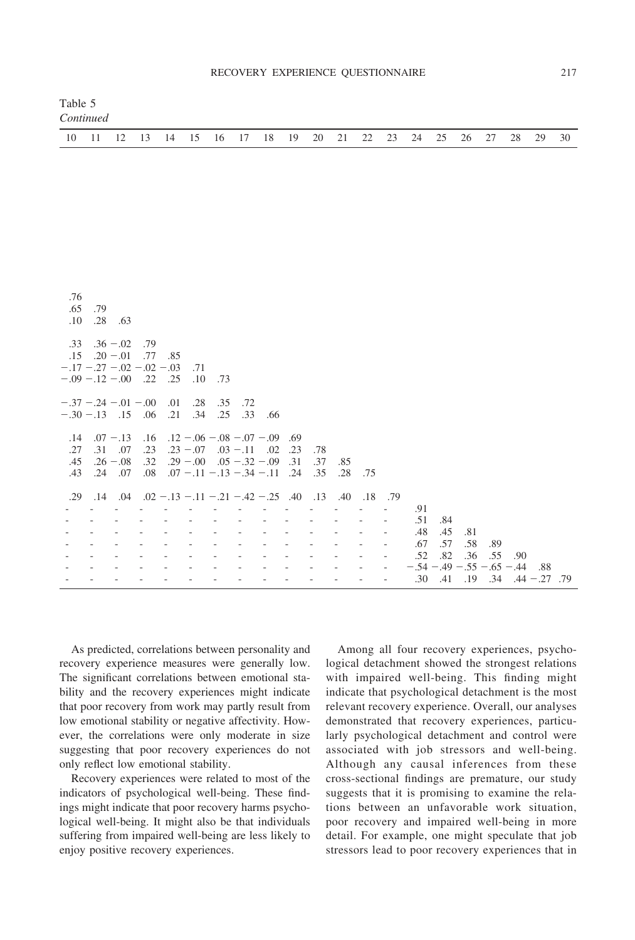Table 5 *Continued*

|  |  | 10 11 12 13 14 15 16 17 18 19 20 21 22 23 24 25 26 27 28 29 30 |  |  |  |  |  |  |  |  |
|--|--|----------------------------------------------------------------|--|--|--|--|--|--|--|--|
|  |  |                                                                |  |  |  |  |  |  |  |  |

| .76<br>.65<br>$.10\,$    | .79<br>.28                | .63                    |                                                                                                     |     |                                                                                                                                                                                                        |            |            |     |     |                   |     |           |                          |                        |                            |                                            |                |       |  |
|--------------------------|---------------------------|------------------------|-----------------------------------------------------------------------------------------------------|-----|--------------------------------------------------------------------------------------------------------------------------------------------------------------------------------------------------------|------------|------------|-----|-----|-------------------|-----|-----------|--------------------------|------------------------|----------------------------|--------------------------------------------|----------------|-------|--|
|                          | $.33 \t .36 - .02 \t .79$ |                        | $.15 \t .20 \t - .01 \t .77 \t .85$<br>$-.17 - .27 - .02 - .02 - .03$<br>$-.09 - .12 - .00$ .22 .25 |     | .71<br>.10                                                                                                                                                                                             | .73        |            |     |     |                   |     |           |                          |                        |                            |                                            |                |       |  |
| $-.37 - .24 - .01 - .00$ |                           |                        |                                                                                                     | .01 | .28<br>$-.30 - .13$ .15 .06 .21 .34                                                                                                                                                                    | .35<br>.25 | .72<br>.33 | .66 |     |                   |     |           |                          |                        |                            |                                            |                |       |  |
| .27<br>.45<br>.43        |                           | .31 .07<br>$.24$ $.07$ |                                                                                                     |     | $.14$ $.07 - .13$ $.16$ $.12 - .06 - .08 - .07 - .09$ $.69$<br>$.23$ $.23 - .07$ $.03 - .11$ $.02$<br>$.26 - .08$ $.32$ $.29 - .00$ $.05 - .32 - .09$ $.31$<br>$.08$ $.07 - .11 - .13 - .34 - .11$ .24 |            |            |     | .23 | .78<br>.37<br>.35 | .85 | $.28$ .75 |                          |                        |                            |                                            |                |       |  |
|                          |                           |                        |                                                                                                     |     | .29 .14 .04 .13 .40 .13 .40 .14 .21 -.21 -.21 -.21 -.22 .29 .14 .14                                                                                                                                    |            |            |     |     |                   |     |           |                          | .91                    | .51 .84                    |                                            |                |       |  |
|                          |                           |                        |                                                                                                     |     |                                                                                                                                                                                                        |            |            |     |     |                   |     |           | $\overline{\phantom{a}}$ | .48<br>.67             | .45<br>.57<br>$.52 \t .82$ | .81<br>.58<br>.36                          | .89<br>.55 .90 |       |  |
|                          |                           |                        |                                                                                                     |     |                                                                                                                                                                                                        |            |            |     |     |                   |     |           | $\overline{\phantom{a}}$ | $-.54-.49-.55-.65-.44$ |                            | $.30$ $.41$ $.19$ $.34$ $.44$ $-.27$ $.79$ |                | - .88 |  |

As predicted, correlations between personality and recovery experience measures were generally low. The significant correlations between emotional stability and the recovery experiences might indicate that poor recovery from work may partly result from low emotional stability or negative affectivity. However, the correlations were only moderate in size suggesting that poor recovery experiences do not only reflect low emotional stability.

Recovery experiences were related to most of the indicators of psychological well-being. These findings might indicate that poor recovery harms psychological well-being. It might also be that individuals suffering from impaired well-being are less likely to enjoy positive recovery experiences.

Among all four recovery experiences, psychological detachment showed the strongest relations with impaired well-being. This finding might indicate that psychological detachment is the most relevant recovery experience. Overall, our analyses demonstrated that recovery experiences, particularly psychological detachment and control were associated with job stressors and well-being. Although any causal inferences from these cross-sectional findings are premature, our study suggests that it is promising to examine the relations between an unfavorable work situation, poor recovery and impaired well-being in more detail. For example, one might speculate that job stressors lead to poor recovery experiences that in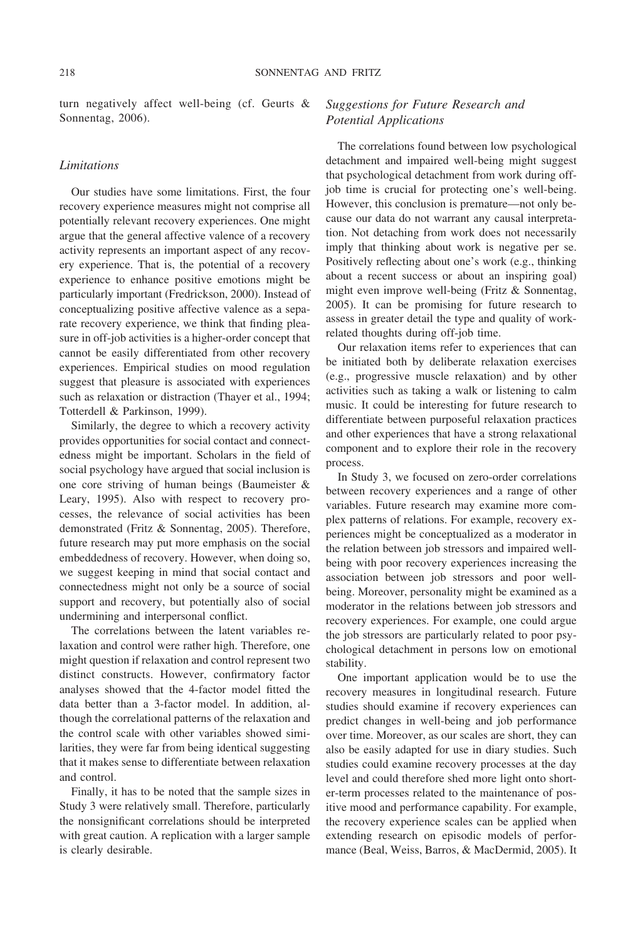turn negatively affect well-being (cf. Geurts & Sonnentag, 2006).

### *Limitations*

Our studies have some limitations. First, the four recovery experience measures might not comprise all potentially relevant recovery experiences. One might argue that the general affective valence of a recovery activity represents an important aspect of any recovery experience. That is, the potential of a recovery experience to enhance positive emotions might be particularly important (Fredrickson, 2000). Instead of conceptualizing positive affective valence as a separate recovery experience, we think that finding pleasure in off-job activities is a higher-order concept that cannot be easily differentiated from other recovery experiences. Empirical studies on mood regulation suggest that pleasure is associated with experiences such as relaxation or distraction (Thayer et al., 1994; Totterdell & Parkinson, 1999).

Similarly, the degree to which a recovery activity provides opportunities for social contact and connectedness might be important. Scholars in the field of social psychology have argued that social inclusion is one core striving of human beings (Baumeister & Leary, 1995). Also with respect to recovery processes, the relevance of social activities has been demonstrated (Fritz & Sonnentag, 2005). Therefore, future research may put more emphasis on the social embeddedness of recovery. However, when doing so, we suggest keeping in mind that social contact and connectedness might not only be a source of social support and recovery, but potentially also of social undermining and interpersonal conflict.

The correlations between the latent variables relaxation and control were rather high. Therefore, one might question if relaxation and control represent two distinct constructs. However, confirmatory factor analyses showed that the 4-factor model fitted the data better than a 3-factor model. In addition, although the correlational patterns of the relaxation and the control scale with other variables showed similarities, they were far from being identical suggesting that it makes sense to differentiate between relaxation and control.

Finally, it has to be noted that the sample sizes in Study 3 were relatively small. Therefore, particularly the nonsignificant correlations should be interpreted with great caution. A replication with a larger sample is clearly desirable.

## *Suggestions for Future Research and Potential Applications*

The correlations found between low psychological detachment and impaired well-being might suggest that psychological detachment from work during offjob time is crucial for protecting one's well-being. However, this conclusion is premature—not only because our data do not warrant any causal interpretation. Not detaching from work does not necessarily imply that thinking about work is negative per se. Positively reflecting about one's work (e.g., thinking about a recent success or about an inspiring goal) might even improve well-being (Fritz & Sonnentag, 2005). It can be promising for future research to assess in greater detail the type and quality of workrelated thoughts during off-job time.

Our relaxation items refer to experiences that can be initiated both by deliberate relaxation exercises (e.g., progressive muscle relaxation) and by other activities such as taking a walk or listening to calm music. It could be interesting for future research to differentiate between purposeful relaxation practices and other experiences that have a strong relaxational component and to explore their role in the recovery process.

In Study 3, we focused on zero-order correlations between recovery experiences and a range of other variables. Future research may examine more complex patterns of relations. For example, recovery experiences might be conceptualized as a moderator in the relation between job stressors and impaired wellbeing with poor recovery experiences increasing the association between job stressors and poor wellbeing. Moreover, personality might be examined as a moderator in the relations between job stressors and recovery experiences. For example, one could argue the job stressors are particularly related to poor psychological detachment in persons low on emotional stability.

One important application would be to use the recovery measures in longitudinal research. Future studies should examine if recovery experiences can predict changes in well-being and job performance over time. Moreover, as our scales are short, they can also be easily adapted for use in diary studies. Such studies could examine recovery processes at the day level and could therefore shed more light onto shorter-term processes related to the maintenance of positive mood and performance capability. For example, the recovery experience scales can be applied when extending research on episodic models of performance (Beal, Weiss, Barros, & MacDermid, 2005). It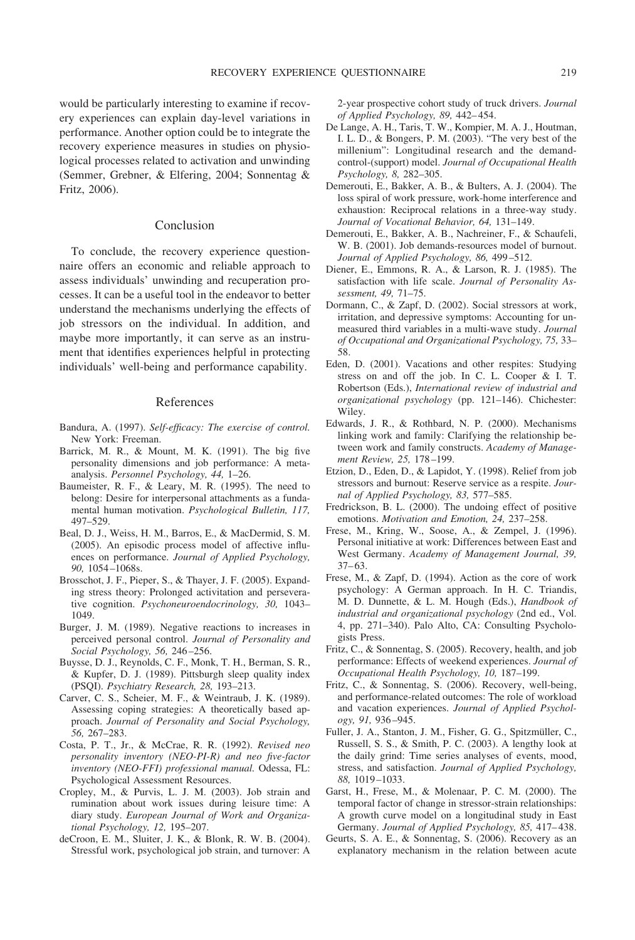would be particularly interesting to examine if recovery experiences can explain day-level variations in performance. Another option could be to integrate the recovery experience measures in studies on physiological processes related to activation and unwinding (Semmer, Grebner, & Elfering, 2004; Sonnentag & Fritz, 2006).

#### Conclusion

To conclude, the recovery experience questionnaire offers an economic and reliable approach to assess individuals' unwinding and recuperation processes. It can be a useful tool in the endeavor to better understand the mechanisms underlying the effects of job stressors on the individual. In addition, and maybe more importantly, it can serve as an instrument that identifies experiences helpful in protecting individuals' well-being and performance capability.

### References

- Bandura, A. (1997). *Self-efficacy: The exercise of control.* New York: Freeman.
- Barrick, M. R., & Mount, M. K. (1991). The big five personality dimensions and job performance: A metaanalysis. *Personnel Psychology, 44,* 1–26.
- Baumeister, R. F., & Leary, M. R. (1995). The need to belong: Desire for interpersonal attachments as a fundamental human motivation. *Psychological Bulletin, 117,* 497–529.
- Beal, D. J., Weiss, H. M., Barros, E., & MacDermid, S. M. (2005). An episodic process model of affective influences on performance. *Journal of Applied Psychology, 90,* 1054 –1068s.
- Brosschot, J. F., Pieper, S., & Thayer, J. F. (2005). Expanding stress theory: Prolonged activitation and perseverative cognition. *Psychoneuroendocrinology, 30,* 1043– 1049.
- Burger, J. M. (1989). Negative reactions to increases in perceived personal control. *Journal of Personality and Social Psychology, 56,* 246 –256.
- Buysse, D. J., Reynolds, C. F., Monk, T. H., Berman, S. R., & Kupfer, D. J. (1989). Pittsburgh sleep quality index (PSQI). *Psychiatry Research, 28,* 193–213.
- Carver, C. S., Scheier, M. F., & Weintraub, J. K. (1989). Assessing coping strategies: A theoretically based approach. *Journal of Personality and Social Psychology, 56,* 267–283.
- Costa, P. T., Jr., & McCrae, R. R. (1992). *Revised neo personality inventory (NEO-PI-R) and neo five-factor inventory (NEO-FFI) professional manual.* Odessa, FL: Psychological Assessment Resources.
- Cropley, M., & Purvis, L. J. M. (2003). Job strain and rumination about work issues during leisure time: A diary study. *European Journal of Work and Organizational Psychology, 12,* 195–207.
- deCroon, E. M., Sluiter, J. K., & Blonk, R. W. B. (2004). Stressful work, psychological job strain, and turnover: A

2-year prospective cohort study of truck drivers. *Journal of Applied Psychology, 89,* 442– 454.

- De Lange, A. H., Taris, T. W., Kompier, M. A. J., Houtman, I. L. D., & Bongers, P. M. (2003). "The very best of the millenium": Longitudinal research and the demandcontrol-(support) model. *Journal of Occupational Health Psychology, 8,* 282–305.
- Demerouti, E., Bakker, A. B., & Bulters, A. J. (2004). The loss spiral of work pressure, work-home interference and exhaustion: Reciprocal relations in a three-way study. *Journal of Vocational Behavior, 64,* 131–149.
- Demerouti, E., Bakker, A. B., Nachreiner, F., & Schaufeli, W. B. (2001). Job demands-resources model of burnout. *Journal of Applied Psychology, 86,* 499 –512.
- Diener, E., Emmons, R. A., & Larson, R. J. (1985). The satisfaction with life scale. *Journal of Personality Assessment, 49,* 71–75.
- Dormann, C., & Zapf, D. (2002). Social stressors at work, irritation, and depressive symptoms: Accounting for unmeasured third variables in a multi-wave study. *Journal of Occupational and Organizational Psychology, 75,* 33– 58.
- Eden, D. (2001). Vacations and other respites: Studying stress on and off the job. In C. L. Cooper & I. T. Robertson (Eds.), *International review of industrial and organizational psychology* (pp. 121–146). Chichester: Wiley.
- Edwards, J. R., & Rothbard, N. P. (2000). Mechanisms linking work and family: Clarifying the relationship between work and family constructs. *Academy of Management Review, 25,* 178 –199.
- Etzion, D., Eden, D., & Lapidot, Y. (1998). Relief from job stressors and burnout: Reserve service as a respite. *Journal of Applied Psychology, 83,* 577–585.
- Fredrickson, B. L. (2000). The undoing effect of positive emotions. *Motivation and Emotion, 24,* 237–258.
- Frese, M., Kring, W., Soose, A., & Zempel, J. (1996). Personal initiative at work: Differences between East and West Germany. *Academy of Management Journal, 39,*  $37 - 63$ .
- Frese, M., & Zapf, D. (1994). Action as the core of work psychology: A German approach. In H. C. Triandis, M. D. Dunnette, & L. M. Hough (Eds.), *Handbook of industrial and organizational psychology* (2nd ed., Vol. 4, pp. 271–340). Palo Alto, CA: Consulting Psychologists Press.
- Fritz, C., & Sonnentag, S. (2005). Recovery, health, and job performance: Effects of weekend experiences. *Journal of Occupational Health Psychology, 10,* 187–199.
- Fritz, C., & Sonnentag, S. (2006). Recovery, well-being, and performance-related outcomes: The role of workload and vacation experiences. *Journal of Applied Psychology, 91,* 936 –945.
- Fuller, J. A., Stanton, J. M., Fisher, G. G., Spitzmüller, C., Russell, S. S., & Smith, P. C. (2003). A lengthy look at the daily grind: Time series analyses of events, mood, stress, and satisfaction. *Journal of Applied Psychology, 88,* 1019 –1033.
- Garst, H., Frese, M., & Molenaar, P. C. M. (2000). The temporal factor of change in stressor-strain relationships: A growth curve model on a longitudinal study in East Germany. *Journal of Applied Psychology, 85,* 417– 438.
- Geurts, S. A. E., & Sonnentag, S. (2006). Recovery as an explanatory mechanism in the relation between acute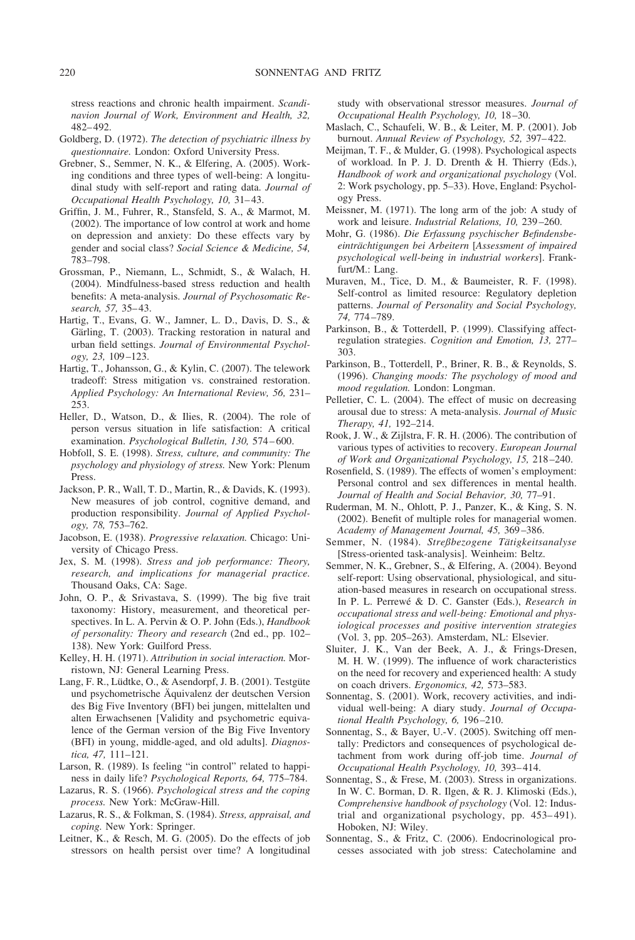stress reactions and chronic health impairment. *Scandinavion Journal of Work, Environment and Health, 32,* 482– 492.

- Goldberg, D. (1972). *The detection of psychiatric illness by questionnaire.* London: Oxford University Press.
- Grebner, S., Semmer, N. K., & Elfering, A. (2005). Working conditions and three types of well-being: A longitudinal study with self-report and rating data. *Journal of Occupational Health Psychology, 10,* 31– 43.
- Griffin, J. M., Fuhrer, R., Stansfeld, S. A., & Marmot, M. (2002). The importance of low control at work and home on depression and anxiety: Do these effects vary by gender and social class? *Social Science & Medicine, 54,* 783–798.
- Grossman, P., Niemann, L., Schmidt, S., & Walach, H. (2004). Mindfulness-based stress reduction and health benefits: A meta-analysis. *Journal of Psychosomatic Research, 57,* 35– 43.
- Hartig, T., Evans, G. W., Jamner, L. D., Davis, D. S., & Gärling, T. (2003). Tracking restoration in natural and urban field settings. *Journal of Environmental Psychology, 23,* 109 –123.
- Hartig, T., Johansson, G., & Kylin, C. (2007). The telework tradeoff: Stress mitigation vs. constrained restoration. *Applied Psychology: An International Review, 56,* 231– 253.
- Heller, D., Watson, D., & Ilies, R. (2004). The role of person versus situation in life satisfaction: A critical examination. *Psychological Bulletin, 130,* 574 – 600.
- Hobfoll, S. E. (1998). *Stress, culture, and community: The psychology and physiology of stress.* New York: Plenum Press.
- Jackson, P. R., Wall, T. D., Martin, R., & Davids, K. (1993). New measures of job control, cognitive demand, and production responsibility. *Journal of Applied Psychology, 78,* 753–762.
- Jacobson, E. (1938). *Progressive relaxation.* Chicago: University of Chicago Press.
- Jex, S. M. (1998). *Stress and job performance: Theory, research, and implications for managerial practice.* Thousand Oaks, CA: Sage.
- John, O. P., & Srivastava, S. (1999). The big five trait taxonomy: History, measurement, and theoretical perspectives. In L. A. Pervin & O. P. John (Eds.), *Handbook of personality: Theory and research* (2nd ed., pp. 102– 138). New York: Guilford Press.
- Kelley, H. H. (1971). *Attribution in social interaction.* Morristown, NJ: General Learning Press.
- Lang, F. R., Lüdtke, O., & Asendorpf, J. B. (2001). Testgüte und psychometrische Äquivalenz der deutschen Version des Big Five Inventory (BFI) bei jungen, mittelalten und alten Erwachsenen [Validity and psychometric equivalence of the German version of the Big Five Inventory (BFI) in young, middle-aged, and old adults]. *Diagnostica, 47,* 111–121.
- Larson, R. (1989). Is feeling "in control" related to happiness in daily life? *Psychological Reports, 64,* 775–784.
- Lazarus, R. S. (1966). *Psychological stress and the coping process.* New York: McGraw-Hill.
- Lazarus, R. S., & Folkman, S. (1984). *Stress, appraisal, and coping.* New York: Springer.
- Leitner, K., & Resch, M. G. (2005). Do the effects of job stressors on health persist over time? A longitudinal

study with observational stressor measures. *Journal of Occupational Health Psychology, 10,* 18 –30.

- Maslach, C., Schaufeli, W. B., & Leiter, M. P. (2001). Job burnout. *Annual Review of Psychology, 52,* 397– 422.
- Meijman, T. F., & Mulder, G. (1998). Psychological aspects of workload. In P. J. D. Drenth & H. Thierry (Eds.), *Handbook of work and organizational psychology* (Vol. 2: Work psychology, pp. 5–33). Hove, England: Psychology Press.
- Meissner, M. (1971). The long arm of the job: A study of work and leisure. *Industrial Relations, 10,* 239 –260.
- Mohr, G. (1986). *Die Erfassung psychischer Befindensbeeintra¨chtigungen bei Arbeitern* [*Assessment of impaired psychological well-being in industrial workers*]. Frankfurt/M.: Lang.
- Muraven, M., Tice, D. M., & Baumeister, R. F. (1998). Self-control as limited resource: Regulatory depletion patterns. *Journal of Personality and Social Psychology, 74,* 774 –789.
- Parkinson, B., & Totterdell, P. (1999). Classifying affectregulation strategies. *Cognition and Emotion, 13,* 277– 303.
- Parkinson, B., Totterdell, P., Briner, R. B., & Reynolds, S. (1996). *Changing moods: The psychology of mood and mood regulation.* London: Longman.
- Pelletier, C. L. (2004). The effect of music on decreasing arousal due to stress: A meta-analysis. *Journal of Music Therapy, 41,* 192–214.
- Rook, J. W., & Zijlstra, F. R. H. (2006). The contribution of various types of activities to recovery. *European Journal of Work and Organizational Psychology, 15,* 218 –240.
- Rosenfield, S. (1989). The effects of women's employment: Personal control and sex differences in mental health. *Journal of Health and Social Behavior, 30,* 77–91.
- Ruderman, M. N., Ohlott, P. J., Panzer, K., & King, S. N. (2002). Benefit of multiple roles for managerial women. *Academy of Management Journal, 45,* 369 –386.
- Semmer, N. (1984). *Streßbezogene Tätigkeitsanalyse* [Stress-oriented task-analysis]. Weinheim: Beltz.
- Semmer, N. K., Grebner, S., & Elfering, A. (2004). Beyond self-report: Using observational, physiological, and situation-based measures in research on occupational stress. In P. L. Perrewé & D. C. Ganster (Eds.), *Research in occupational stress and well-being: Emotional and physiological processes and positive intervention strategies* (Vol. 3, pp. 205–263). Amsterdam, NL: Elsevier.
- Sluiter, J. K., Van der Beek, A. J., & Frings-Dresen, M. H. W. (1999). The influence of work characteristics on the need for recovery and experienced health: A study on coach drivers. *Ergonomics, 42,* 573–583.
- Sonnentag, S. (2001). Work, recovery activities, and individual well-being: A diary study. *Journal of Occupational Health Psychology, 6,* 196 –210.
- Sonnentag, S., & Bayer, U.-V. (2005). Switching off mentally: Predictors and consequences of psychological detachment from work during off-job time. *Journal of Occupational Health Psychology, 10,* 393– 414.
- Sonnentag, S., & Frese, M. (2003). Stress in organizations. In W. C. Borman, D. R. Ilgen, & R. J. Klimoski (Eds.), *Comprehensive handbook of psychology* (Vol. 12: Industrial and organizational psychology, pp. 453-491). Hoboken, NJ: Wiley.
- Sonnentag, S., & Fritz, C. (2006). Endocrinological processes associated with job stress: Catecholamine and